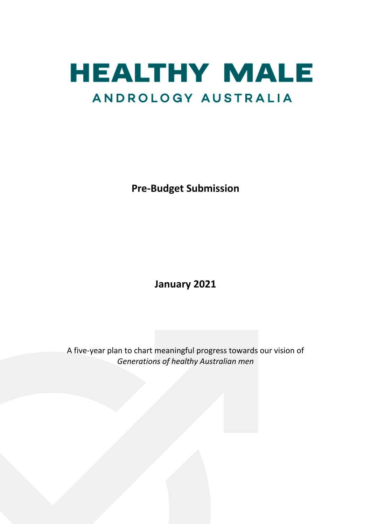

**Pre-Budget Submission**

**January 2021**

A five-year plan to chart meaningful progress towards our vision of *Generations of healthy Australian men*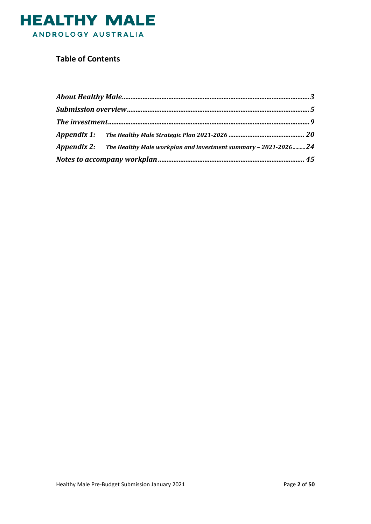

### **Table of Contents**

| Appendix 2: The Healthy Male workplan and investment summary - 2021-202624 |  |
|----------------------------------------------------------------------------|--|
|                                                                            |  |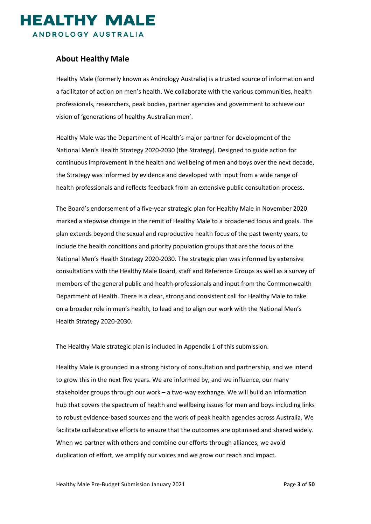

#### <span id="page-2-0"></span>**About Healthy Male**

Healthy Male (formerly known as Andrology Australia) is a trusted source of information and a facilitator of action on men's health. We collaborate with the various communities, health professionals, researchers, peak bodies, partner agencies and government to achieve our vision of ['generations of healthy Australian men'](https://www.healthymale.org.au/about-us/vision-mission-and-values).

Healthy Male was the Department of Health's major partner for development of the National Men's Health Strategy 2020-2030 (the Strategy). Designed to guide action for continuous improvement in the health and wellbeing of men and boys over the next decade, the Strategy was informed by evidence and developed with input from a wide range of health professionals and reflects feedback from an extensive public consultation process.

The Board's endorsement of a five-year strategic plan for Healthy Male in November 2020 marked a stepwise change in the remit of Healthy Male to a broadened focus and goals. The plan extends beyond the sexual and reproductive health focus of the past twenty years, to include the health conditions and priority population groups that are the focus of the National Men's Health Strategy 2020-2030. The strategic plan was informed by extensive consultations with the Healthy Male Board, staff and Reference Groups as well as a survey of members of the general public and health professionals and input from the Commonwealth Department of Health. There is a clear, strong and consistent call for Healthy Male to take on a broader role in men's health, to lead and to align our work with the National Men's Health Strategy 2020-2030.

The Healthy Male strategic plan is included in Appendix 1 of this submission.

Healthy Male is grounded in a strong history of consultation and partnership, and we intend to grow this in the next five years. We are informed by, and we influence, our many stakeholder groups through our work – a two-way exchange. We will build an information hub that covers the spectrum of health and wellbeing issues for men and boys including links to robust evidence-based sources and the work of peak health agencies across Australia. We facilitate collaborative efforts to ensure that the outcomes are optimised and shared widely. When we partner with others and combine our efforts through alliances, we avoid duplication of effort, we amplify our voices and we grow our reach and impact.

Healthy Male Pre-Budget Submission January 2021 Page **3** of **50**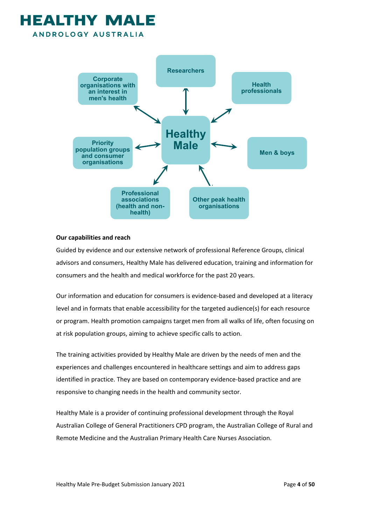### **HEALTHY MA** ANDROLOGY AUSTRALIA



#### **Our capabilities and reach**

Guided by evidence and our extensive network of professional Reference Groups, clinical advisors and consumers, Healthy Male has delivered education, training and information for consumers and the health and medical workforce for the past 20 years.

Our information and education for consumers is evidence-based and developed at a literacy level and in formats that enable accessibility for the targeted audience(s) for each resource or program. Health promotion campaigns target men from all walks of life, often focusing on at risk population groups, aiming to achieve specific calls to action.

The training activities provided by Healthy Male are driven by the needs of men and the experiences and challenges encountered in healthcare settings and aim to address gaps identified in practice. They are based on contemporary evidence-based practice and are responsive to changing needs in the health and community sector.

Healthy Male is a provider of continuing professional development through the Royal Australian College of General Practitioners CPD program, the Australian College of Rural and Remote Medicine and the Australian Primary Health Care Nurses Association.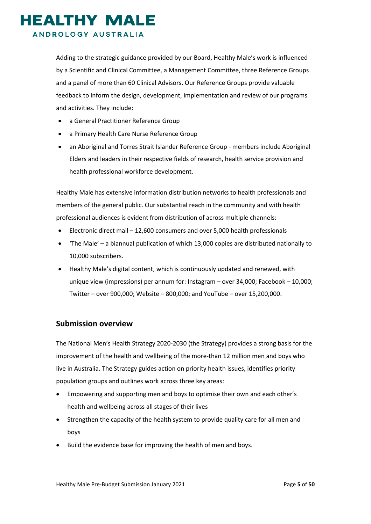### **IEALTHY MALE** ANDROLOGY AUSTRALIA

Adding to the strategic guidance provided by our Board, Healthy Male's work is influenced by a Scientific and Clinical Committee, a Management Committee, three Reference Groups and a panel of more than 60 Clinical Advisors. Our Reference Groups provide valuable feedback to inform the design, development, implementation and review of our programs and activities. They include:

- a General Practitioner Reference Group
- a Primary Health Care Nurse Reference Group
- an Aboriginal and Torres Strait Islander Reference Group members include Aboriginal Elders and leaders in their respective fields of research, health service provision and health professional workforce development.

Healthy Male has extensive information distribution networks to health professionals and members of the general public. Our substantial reach in the community and with health professional audiences is evident from distribution of across multiple channels:

- Electronic direct mail 12,600 consumers and over 5,000 health professionals
- 'The Male' a biannual publication of which 13,000 copies are distributed nationally to 10,000 subscribers.
- Healthy Male's digital content, which is continuously updated and renewed, with unique view (impressions) per annum for: Instagram – over 34,000; Facebook – 10,000; Twitter – over 900,000; Website – 800,000; and YouTube – over 15,200,000.

#### <span id="page-4-0"></span>**Submission overview**

The National Men's Health Strategy 2020-2030 (the Strategy) provides a strong basis for the improvement of the health and wellbeing of the more-than 12 million men and boys who live in Australia. The Strategy guides action on priority health issues, identifies priority population groups and outlines work across three key areas:

- Empowering and supporting men and boys to optimise their own and each other's health and wellbeing across all stages of their lives
- Strengthen the capacity of the health system to provide quality care for all men and boys
- Build the evidence base for improving the health of men and boys.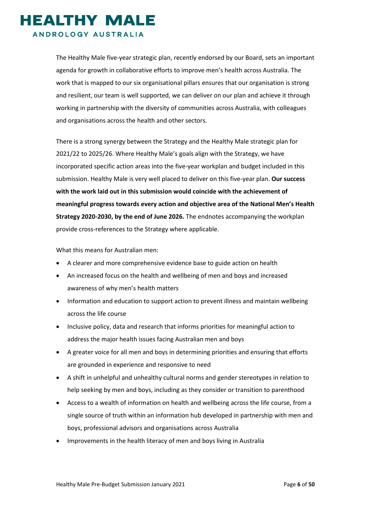### **HEALTHY MALE** ANDROLOGY AUSTRALIA

The Healthy Male five-year strategic plan, recently endorsed by our Board, sets an important agenda for growth in collaborative efforts to improve men's health across Australia. The work that is mapped to our six organisational pillars ensures that our organisation is strong and resilient, our team is well supported, we can deliver on our plan and achieve it through working in partnership with the diversity of communities across Australia, with colleagues and organisations across the health and other sectors.

There is a strong synergy between the Strategy and the Healthy Male strategic plan for 2021/22 to 2025/26. Where Healthy Male's goals align with the Strategy, we have incorporated specific action areas into the five-year workplan and budget included in this submission. Healthy Male is very well placed to deliver on this five-year plan. **Our success with the work laid out in this submission would coincide with the achievement of meaningful progress towards every action and objective area of the National Men's Health Strategy 2020-2030, by the end of June 2026.** The endnotes accompanying the workplan provide cross-references to the Strategy where applicable.

What this means for Australian men:

- A clearer and more comprehensive evidence base to guide action on health
- An increased focus on the health and wellbeing of men and boys and increased awareness of why men's health matters
- Information and education to support action to prevent illness and maintain wellbeing across the life course
- Inclusive policy, data and research that informs priorities for meaningful action to address the major health issues facing Australian men and boys
- A greater voice for all men and boys in determining priorities and ensuring that efforts are grounded in experience and responsive to need
- A shift in unhelpful and unhealthy cultural norms and gender stereotypes in relation to help seeking by men and boys, including as they consider or transition to parenthood
- Access to a wealth of information on health and wellbeing across the life course, from a single source of truth within an information hub developed in partnership with men and boys, professional advisors and organisations across Australia
- Improvements in the health literacy of men and boys living in Australia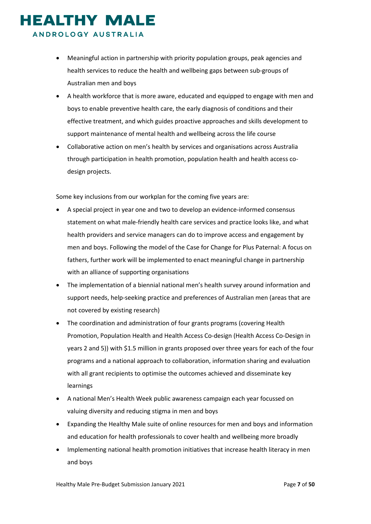### **EALTHY MALE** ANDROLOGY AUSTRALIA

• Meaningful action in partnership with priority population groups, peak agencies and health services to reduce the health and wellbeing gaps between sub-groups of Australian men and boys

- A health workforce that is more aware, educated and equipped to engage with men and boys to enable preventive health care, the early diagnosis of conditions and their effective treatment, and which guides proactive approaches and skills development to support maintenance of mental health and wellbeing across the life course
- Collaborative action on men's health by services and organisations across Australia through participation in health promotion, population health and health access codesign projects.

Some key inclusions from our workplan for the coming five years are:

- A special project in year one and two to develop an evidence-informed consensus statement on what male-friendly health care services and practice looks like, and what health providers and service managers can do to improve access and engagement by men and boys. Following the model of the Case for Change for Plus Paternal: A focus on fathers, further work will be implemented to enact meaningful change in partnership with an alliance of supporting organisations
- The implementation of a biennial national men's health survey around information and support needs, help-seeking practice and preferences of Australian men (areas that are not covered by existing research)
- The coordination and administration of four grants programs (covering Health Promotion, Population Health and Health Access Co-design (Health Access Co-Design in years 2 and 5)) with \$1.5 million in grants proposed over three years for each of the four programs and a national approach to collaboration, information sharing and evaluation with all grant recipients to optimise the outcomes achieved and disseminate key learnings
- A national Men's Health Week public awareness campaign each year focussed on valuing diversity and reducing stigma in men and boys
- Expanding the Healthy Male suite of online resources for men and boys and information and education for health professionals to cover health and wellbeing more broadly
- Implementing national health promotion initiatives that increase health literacy in men and boys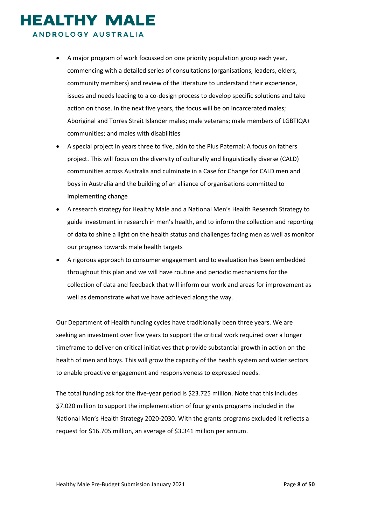ANDROLOGY AUSTRALIA

- A major program of work focussed on one priority population group each year, commencing with a detailed series of consultations (organisations, leaders, elders, community members) and review of the literature to understand their experience, issues and needs leading to a co-design process to develop specific solutions and take action on those. In the next five years, the focus will be on incarcerated males; Aboriginal and Torres Strait Islander males; male veterans; male members of LGBTIQA+ communities; and males with disabilities
- A special project in years three to five, akin to the Plus Paternal: A focus on fathers project. This will focus on the diversity of culturally and linguistically diverse (CALD) communities across Australia and culminate in a Case for Change for CALD men and boys in Australia and the building of an alliance of organisations committed to implementing change
- A research strategy for Healthy Male and a National Men's Health Research Strategy to guide investment in research in men's health, and to inform the collection and reporting of data to shine a light on the health status and challenges facing men as well as monitor our progress towards male health targets
- A rigorous approach to consumer engagement and to evaluation has been embedded throughout this plan and we will have routine and periodic mechanisms for the collection of data and feedback that will inform our work and areas for improvement as well as demonstrate what we have achieved along the way.

Our Department of Health funding cycles have traditionally been three years. We are seeking an investment over five years to support the critical work required over a longer timeframe to deliver on critical initiatives that provide substantial growth in action on the health of men and boys. This will grow the capacity of the health system and wider sectors to enable proactive engagement and responsiveness to expressed needs.

The total funding ask for the five-year period is \$23.725 million. Note that this includes \$7.020 million to support the implementation of four grants programs included in the National Men's Health Strategy 2020-2030. With the grants programs excluded it reflects a request for \$16.705 million, an average of \$3.341 million per annum.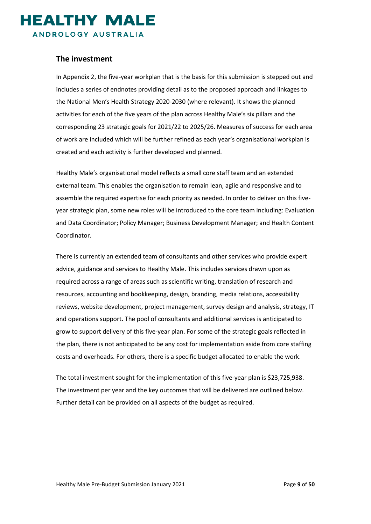

#### <span id="page-8-0"></span>**The investment**

In Appendix 2, the five-year workplan that is the basis for this submission is stepped out and includes a series of endnotes providing detail as to the proposed approach and linkages to the National Men's Health Strategy 2020-2030 (where relevant). It shows the planned activities for each of the five years of the plan across Healthy Male's six pillars and the corresponding 23 strategic goals for 2021/22 to 2025/26. Measures of success for each area of work are included which will be further refined as each year's organisational workplan is created and each activity is further developed and planned.

Healthy Male's organisational model reflects a small core staff team and an extended external team. This enables the organisation to remain lean, agile and responsive and to assemble the required expertise for each priority as needed. In order to deliver on this fiveyear strategic plan, some new roles will be introduced to the core team including: Evaluation and Data Coordinator; Policy Manager; Business Development Manager; and Health Content Coordinator.

There is currently an extended team of consultants and other services who provide expert advice, guidance and services to Healthy Male. This includes services drawn upon as required across a range of areas such as scientific writing, translation of research and resources, accounting and bookkeeping, design, branding, media relations, accessibility reviews, website development, project management, survey design and analysis, strategy, IT and operations support. The pool of consultants and additional services is anticipated to grow to support delivery of this five-year plan. For some of the strategic goals reflected in the plan, there is not anticipated to be any cost for implementation aside from core staffing costs and overheads. For others, there is a specific budget allocated to enable the work.

The total investment sought for the implementation of this five-year plan is \$23,725,938. The investment per year and the key outcomes that will be delivered are outlined below. Further detail can be provided on all aspects of the budget as required.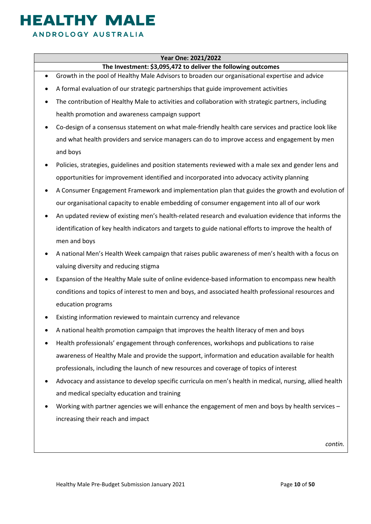### **EALTHY MALE** ANDROLOGY AUSTRALIA

#### **Year One: 2021/2022**

#### **The Investment: \$3,095,472 to deliver the following outcomes**

- Growth in the pool of Healthy Male Advisors to broaden our organisational expertise and advice
- A formal evaluation of our strategic partnerships that guide improvement activities
- The contribution of Healthy Male to activities and collaboration with strategic partners, including health promotion and awareness campaign support
- Co-design of a consensus statement on what male-friendly health care services and practice look like and what health providers and service managers can do to improve access and engagement by men and boys
- Policies, strategies, guidelines and position statements reviewed with a male sex and gender lens and opportunities for improvement identified and incorporated into advocacy activity planning
- A Consumer Engagement Framework and implementation plan that guides the growth and evolution of our organisational capacity to enable embedding of consumer engagement into all of our work
- An updated review of existing men's health-related research and evaluation evidence that informs the identification of key health indicators and targets to guide national efforts to improve the health of men and boys
- A national Men's Health Week campaign that raises public awareness of men's health with a focus on valuing diversity and reducing stigma
- Expansion of the Healthy Male suite of online evidence-based information to encompass new health conditions and topics of interest to men and boys, and associated health professional resources and education programs
- Existing information reviewed to maintain currency and relevance
- A national health promotion campaign that improves the health literacy of men and boys
- Health professionals' engagement through conferences, workshops and publications to raise awareness of Healthy Male and provide the support, information and education available for health professionals, including the launch of new resources and coverage of topics of interest
- Advocacy and assistance to develop specific curricula on men's health in medical, nursing, allied health and medical specialty education and training
- Working with partner agencies we will enhance the engagement of men and boys by health services increasing their reach and impact

*contin.*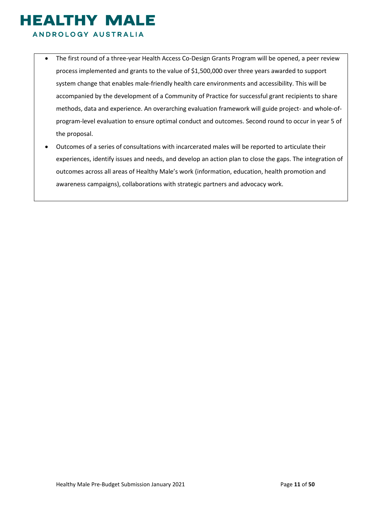ANDROLOGY AUSTRALIA

- The first round of a three-year Health Access Co-Design Grants Program will be opened, a peer review process implemented and grants to the value of \$1,500,000 over three years awarded to support system change that enables male-friendly health care environments and accessibility. This will be accompanied by the development of a Community of Practice for successful grant recipients to share methods, data and experience. An overarching evaluation framework will guide project- and whole-ofprogram-level evaluation to ensure optimal conduct and outcomes. Second round to occur in year 5 of the proposal.
- Outcomes of a series of consultations with incarcerated males will be reported to articulate their experiences, identify issues and needs, and develop an action plan to close the gaps. The integration of outcomes across all areas of Healthy Male's work (information, education, health promotion and awareness campaigns), collaborations with strategic partners and advocacy work.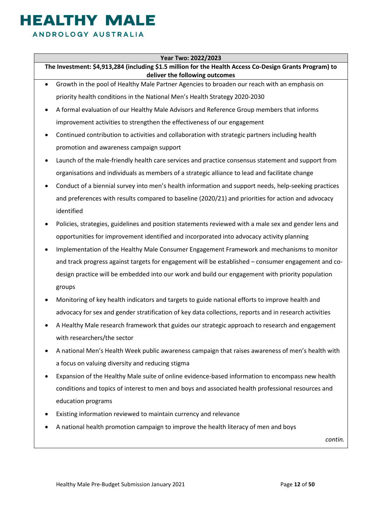### **EALTHY MAL** ANDROLOGY AUSTRALIA

#### **Year Two: 2022/2023**

**The Investment: \$4,913,284 (including \$1.5 million for the Health Access Co-Design Grants Program) to deliver the following outcomes**

- Growth in the pool of Healthy Male Partner Agencies to broaden our reach with an emphasis on priority health conditions in the National Men's Health Strategy 2020-2030
- A formal evaluation of our Healthy Male Advisors and Reference Group members that informs improvement activities to strengthen the effectiveness of our engagement
- Continued contribution to activities and collaboration with strategic partners including health promotion and awareness campaign support
- Launch of the male-friendly health care services and practice consensus statement and support from organisations and individuals as members of a strategic alliance to lead and facilitate change
- Conduct of a biennial survey into men's health information and support needs, help-seeking practices and preferences with results compared to baseline (2020/21) and priorities for action and advocacy identified
- Policies, strategies, guidelines and position statements reviewed with a male sex and gender lens and opportunities for improvement identified and incorporated into advocacy activity planning
- Implementation of the Healthy Male Consumer Engagement Framework and mechanisms to monitor and track progress against targets for engagement will be established – consumer engagement and codesign practice will be embedded into our work and build our engagement with priority population groups
- Monitoring of key health indicators and targets to guide national efforts to improve health and advocacy for sex and gender stratification of key data collections, reports and in research activities
- A Healthy Male research framework that guides our strategic approach to research and engagement with researchers/the sector
- A national Men's Health Week public awareness campaign that raises awareness of men's health with a focus on valuing diversity and reducing stigma
- Expansion of the Healthy Male suite of online evidence-based information to encompass new health conditions and topics of interest to men and boys and associated health professional resources and education programs
- Existing information reviewed to maintain currency and relevance
- A national health promotion campaign to improve the health literacy of men and boys

*contin.*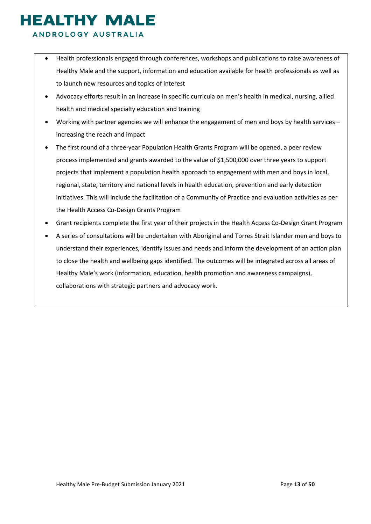#### ANDROLOGY AUSTRALIA

- Health professionals engaged through conferences, workshops and publications to raise awareness of Healthy Male and the support, information and education available for health professionals as well as to launch new resources and topics of interest
- Advocacy efforts result in an increase in specific curricula on men's health in medical, nursing, allied health and medical specialty education and training
- Working with partner agencies we will enhance the engagement of men and boys by health services increasing the reach and impact
- The first round of a three-year Population Health Grants Program will be opened, a peer review process implemented and grants awarded to the value of \$1,500,000 over three years to support projects that implement a population health approach to engagement with men and boys in local, regional, state, territory and national levels in health education, prevention and early detection initiatives. This will include the facilitation of a Community of Practice and evaluation activities as per the Health Access Co-Design Grants Program
- Grant recipients complete the first year of their projects in the Health Access Co-Design Grant Program
- A series of consultations will be undertaken with Aboriginal and Torres Strait Islander men and boys to understand their experiences, identify issues and needs and inform the development of an action plan to close the health and wellbeing gaps identified. The outcomes will be integrated across all areas of Healthy Male's work (information, education, health promotion and awareness campaigns), collaborations with strategic partners and advocacy work.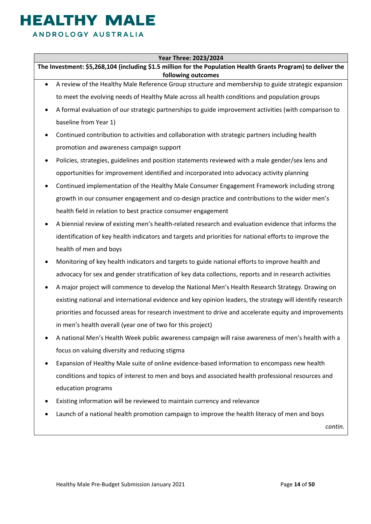### **IEALTHY MALE** ANDROLOGY AUSTRALIA

#### **Year Three: 2023/2024**

**The Investment: \$5,268,104 (including \$1.5 million for the Population Health Grants Program) to deliver the following outcomes**

- A review of the Healthy Male Reference Group structure and membership to guide strategic expansion to meet the evolving needs of Healthy Male across all health conditions and population groups
- A formal evaluation of our strategic partnerships to guide improvement activities (with comparison to baseline from Year 1)
- Continued contribution to activities and collaboration with strategic partners including health promotion and awareness campaign support
- Policies, strategies, guidelines and position statements reviewed with a male gender/sex lens and opportunities for improvement identified and incorporated into advocacy activity planning
- Continued implementation of the Healthy Male Consumer Engagement Framework including strong growth in our consumer engagement and co-design practice and contributions to the wider men's health field in relation to best practice consumer engagement
- A biennial review of existing men's health-related research and evaluation evidence that informs the identification of key health indicators and targets and priorities for national efforts to improve the health of men and boys
- Monitoring of key health indicators and targets to guide national efforts to improve health and advocacy for sex and gender stratification of key data collections, reports and in research activities
- A major project will commence to develop the National Men's Health Research Strategy. Drawing on existing national and international evidence and key opinion leaders, the strategy will identify research priorities and focussed areas for research investment to drive and accelerate equity and improvements in men's health overall (year one of two for this project)
- A national Men's Health Week public awareness campaign will raise awareness of men's health with a focus on valuing diversity and reducing stigma
- Expansion of Healthy Male suite of online evidence-based information to encompass new health conditions and topics of interest to men and boys and associated health professional resources and education programs
- Existing information will be reviewed to maintain currency and relevance
- Launch of a national health promotion campaign to improve the health literacy of men and boys

*contin.*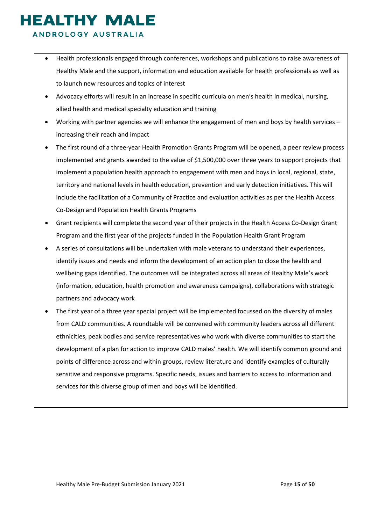### ANDROLOGY AUSTRALIA

- Health professionals engaged through conferences, workshops and publications to raise awareness of Healthy Male and the support, information and education available for health professionals as well as to launch new resources and topics of interest
- Advocacy efforts will result in an increase in specific curricula on men's health in medical, nursing, allied health and medical specialty education and training
- Working with partner agencies we will enhance the engagement of men and boys by health services increasing their reach and impact
- The first round of a three-year Health Promotion Grants Program will be opened, a peer review process implemented and grants awarded to the value of \$1,500,000 over three years to support projects that implement a population health approach to engagement with men and boys in local, regional, state, territory and national levels in health education, prevention and early detection initiatives. This will include the facilitation of a Community of Practice and evaluation activities as per the Health Access Co-Design and Population Health Grants Programs
- Grant recipients will complete the second year of their projects in the Health Access Co-Design Grant Program and the first year of the projects funded in the Population Health Grant Program
- A series of consultations will be undertaken with male veterans to understand their experiences, identify issues and needs and inform the development of an action plan to close the health and wellbeing gaps identified. The outcomes will be integrated across all areas of Healthy Male's work (information, education, health promotion and awareness campaigns), collaborations with strategic partners and advocacy work
- The first year of a three year special project will be implemented focussed on the diversity of males from CALD communities. A roundtable will be convened with community leaders across all different ethnicities, peak bodies and service representatives who work with diverse communities to start the development of a plan for action to improve CALD males' health. We will identify common ground and points of difference across and within groups, review literature and identify examples of culturally sensitive and responsive programs. Specific needs, issues and barriers to access to information and services for this diverse group of men and boys will be identified.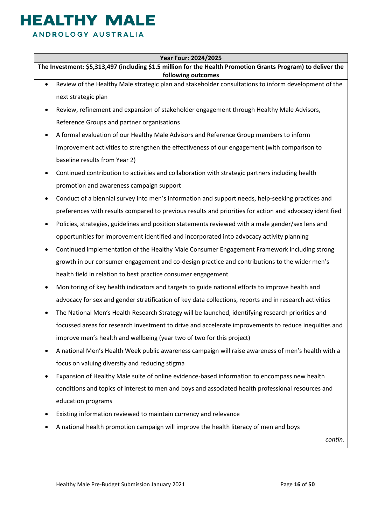### **IEALTHY MALE** ANDROLOGY AUSTRALIA

#### **Year Four: 2024/2025**

**The Investment: \$5,313,497 (including \$1.5 million for the Health Promotion Grants Program) to deliver the following outcomes**

- Review of the Healthy Male strategic plan and stakeholder consultations to inform development of the next strategic plan
- Review, refinement and expansion of stakeholder engagement through Healthy Male Advisors, Reference Groups and partner organisations
- A formal evaluation of our Healthy Male Advisors and Reference Group members to inform improvement activities to strengthen the effectiveness of our engagement (with comparison to baseline results from Year 2)
- Continued contribution to activities and collaboration with strategic partners including health promotion and awareness campaign support
- Conduct of a biennial survey into men's information and support needs, help-seeking practices and preferences with results compared to previous results and priorities for action and advocacy identified
- Policies, strategies, guidelines and position statements reviewed with a male gender/sex lens and opportunities for improvement identified and incorporated into advocacy activity planning
- Continued implementation of the Healthy Male Consumer Engagement Framework including strong growth in our consumer engagement and co-design practice and contributions to the wider men's health field in relation to best practice consumer engagement
- Monitoring of key health indicators and targets to guide national efforts to improve health and advocacy for sex and gender stratification of key data collections, reports and in research activities
- The National Men's Health Research Strategy will be launched, identifying research priorities and focussed areas for research investment to drive and accelerate improvements to reduce inequities and improve men's health and wellbeing (year two of two for this project)
- A national Men's Health Week public awareness campaign will raise awareness of men's health with a focus on valuing diversity and reducing stigma
- Expansion of Healthy Male suite of online evidence-based information to encompass new health conditions and topics of interest to men and boys and associated health professional resources and education programs
- Existing information reviewed to maintain currency and relevance
- A national health promotion campaign will improve the health literacy of men and boys

*contin.*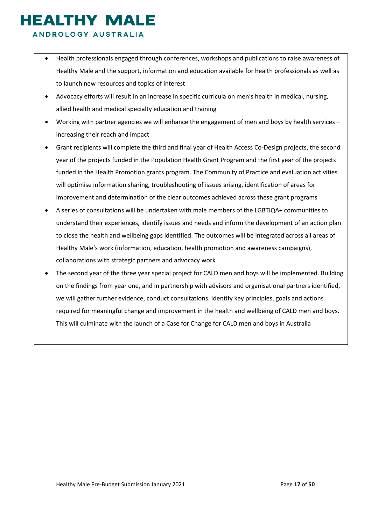### **HEALTHY MALE** ANDROLOGY AUSTRALIA

- Health professionals engaged through conferences, workshops and publications to raise awareness of Healthy Male and the support, information and education available for health professionals as well as to launch new resources and topics of interest
- Advocacy efforts will result in an increase in specific curricula on men's health in medical, nursing, allied health and medical specialty education and training
- Working with partner agencies we will enhance the engagement of men and boys by health services increasing their reach and impact
- Grant recipients will complete the third and final year of Health Access Co-Design projects, the second year of the projects funded in the Population Health Grant Program and the first year of the projects funded in the Health Promotion grants program. The Community of Practice and evaluation activities will optimise information sharing, troubleshooting of issues arising, identification of areas for improvement and determination of the clear outcomes achieved across these grant programs
- A series of consultations will be undertaken with male members of the LGBTIQA+ communities to understand their experiences, identify issues and needs and inform the development of an action plan to close the health and wellbeing gaps identified. The outcomes will be integrated across all areas of Healthy Male's work (information, education, health promotion and awareness campaigns), collaborations with strategic partners and advocacy work
- The second year of the three year special project for CALD men and boys will be implemented. Building on the findings from year one, and in partnership with advisors and organisational partners identified, we will gather further evidence, conduct consultations. Identify key principles, goals and actions required for meaningful change and improvement in the health and wellbeing of CALD men and boys. This will culminate with the launch of a Case for Change for CALD men and boys in Australia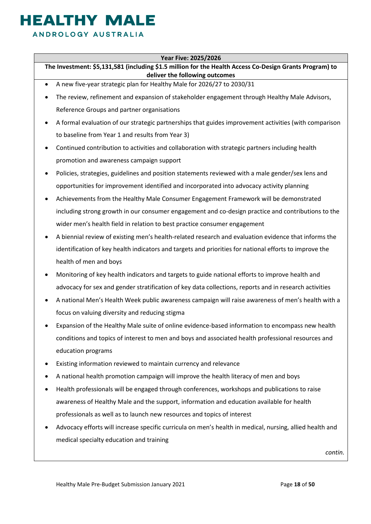### **IEALTHY MALE** ANDROLOGY AUSTRALIA

#### **Year Five: 2025/2026**

**The Investment: \$5,131,581 (including \$1.5 million for the Health Access Co-Design Grants Program) to deliver the following outcomes**

- A new five-year strategic plan for Healthy Male for 2026/27 to 2030/31
- The review, refinement and expansion of stakeholder engagement through Healthy Male Advisors, Reference Groups and partner organisations
- A formal evaluation of our strategic partnerships that guides improvement activities (with comparison to baseline from Year 1 and results from Year 3)
- Continued contribution to activities and collaboration with strategic partners including health promotion and awareness campaign support
- Policies, strategies, guidelines and position statements reviewed with a male gender/sex lens and opportunities for improvement identified and incorporated into advocacy activity planning
- Achievements from the Healthy Male Consumer Engagement Framework will be demonstrated including strong growth in our consumer engagement and co-design practice and contributions to the wider men's health field in relation to best practice consumer engagement
- A biennial review of existing men's health-related research and evaluation evidence that informs the identification of key health indicators and targets and priorities for national efforts to improve the health of men and boys
- Monitoring of key health indicators and targets to guide national efforts to improve health and advocacy for sex and gender stratification of key data collections, reports and in research activities
- A national Men's Health Week public awareness campaign will raise awareness of men's health with a focus on valuing diversity and reducing stigma
- Expansion of the Healthy Male suite of online evidence-based information to encompass new health conditions and topics of interest to men and boys and associated health professional resources and education programs
- Existing information reviewed to maintain currency and relevance
- A national health promotion campaign will improve the health literacy of men and boys
- Health professionals will be engaged through conferences, workshops and publications to raise awareness of Healthy Male and the support, information and education available for health professionals as well as to launch new resources and topics of interest
- Advocacy efforts will increase specific curricula on men's health in medical, nursing, allied health and medical specialty education and training

*contin.*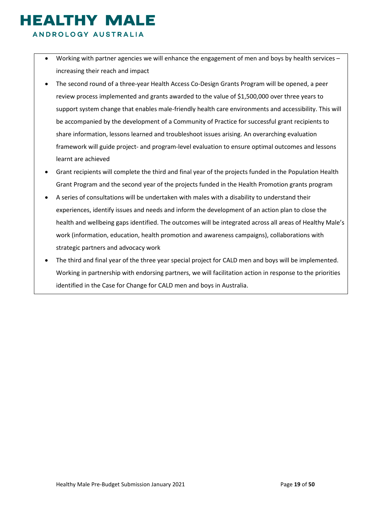ANDROLOGY AUSTRALIA

- Working with partner agencies we will enhance the engagement of men and boys by health services increasing their reach and impact
- The second round of a three-year Health Access Co-Design Grants Program will be opened, a peer review process implemented and grants awarded to the value of \$1,500,000 over three years to support system change that enables male-friendly health care environments and accessibility. This will be accompanied by the development of a Community of Practice for successful grant recipients to share information, lessons learned and troubleshoot issues arising. An overarching evaluation framework will guide project- and program-level evaluation to ensure optimal outcomes and lessons learnt are achieved
- Grant recipients will complete the third and final year of the projects funded in the Population Health Grant Program and the second year of the projects funded in the Health Promotion grants program
- A series of consultations will be undertaken with males with a disability to understand their experiences, identify issues and needs and inform the development of an action plan to close the health and wellbeing gaps identified. The outcomes will be integrated across all areas of Healthy Male's work (information, education, health promotion and awareness campaigns), collaborations with strategic partners and advocacy work
- The third and final year of the three year special project for CALD men and boys will be implemented. Working in partnership with endorsing partners, we will facilitation action in response to the priorities identified in the Case for Change for CALD men and boys in Australia.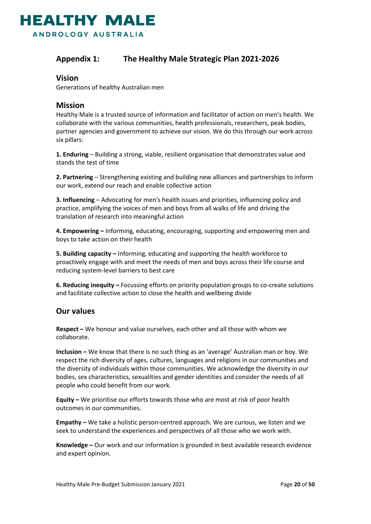

#### <span id="page-19-0"></span>**Appendix 1: The Healthy Male Strategic Plan 2021-2026**

#### **Vision**

Generations of healthy Australian men

#### **Mission**

Healthy Male is a trusted source of information and facilitator of action on men's health. We collaborate with the various communities, health professionals, researchers, peak bodies, partner agencies and government to achieve our vision. We do this through our work across six pillars:

**1. Enduring** – Building a strong, viable, resilient organisation that demonstrates value and stands the test of time

**2. Partnering** – Strengthening existing and building new alliances and partnerships to inform our work, extend our reach and enable collective action

**3. Influencing** – Advocating for men's health issues and priorities, influencing policy and practice, amplifying the voices of men and boys from all walks of life and driving the translation of research into meaningful action

**4. Empowering –** Informing, educating, encouraging, supporting and empowering men and boys to take action on their health

**5. Building capacity –** Informing, educating and supporting the health workforce to proactively engage with and meet the needs of men and boys across their life course and reducing system-level barriers to best care

**6. Reducing inequity –** Focussing efforts on priority population groups to co-create solutions and facilitate collective action to close the health and wellbeing divide

#### **Our values**

**Respect –** We honour and value ourselves, each other and all those with whom we collaborate.

**Inclusion –** We know that there is no such thing as an 'average' Australian man or boy. We respect the rich diversity of ages, cultures, languages and religions in our communities and the diversity of individuals within those communities. We acknowledge the diversity in our bodies, sex characteristics, sexualities and gender identities and consider the needs of all people who could benefit from our work.

**Equity –** We prioritise our efforts towards those who are most at risk of poor health outcomes in our communities.

**Empathy –** We take a holistic person-centred approach. We are curious, we listen and we seek to understand the experiences and perspectives of all those who we work with.

**Knowledge –** Our work and our information is grounded in best available research evidence and expert opinion.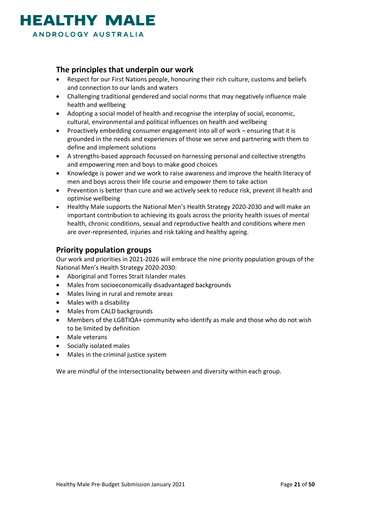

#### **The principles that underpin our work**

- Respect for our First Nations people, honouring their rich culture, customs and beliefs and connection to our lands and waters
- Challenging traditional gendered and social norms that may negatively influence male health and wellbeing
- Adopting a social model of health and recognise the interplay of social, economic, cultural, environmental and political influences on health and wellbeing
- Proactively embedding consumer engagement into all of work ensuring that it is grounded in the needs and experiences of those we serve and partnering with them to define and implement solutions
- A strengths-based approach focussed on harnessing personal and collective strengths and empowering men and boys to make good choices
- Knowledge is power and we work to raise awareness and improve the health literacy of men and boys across their life course and empower them to take action
- Prevention is better than cure and we actively seek to reduce risk, prevent ill health and optimise wellbeing
- Healthy Male supports the National Men's Health Strategy 2020-2030 and will make an important contribution to achieving its goals across the priority health issues of mental health, chronic conditions, sexual and reproductive health and conditions where men are over-represented, injuries and risk taking and healthy ageing.

#### **Priority population groups**

Our work and priorities in 2021-2026 will embrace the nine priority population groups of the National Men's Health Strategy 2020-2030:

- Aboriginal and Torres Strait Islander males
- Males from socioeconomically disadvantaged backgrounds
- Males living in rural and remote areas
- Males with a disability
- Males from CALD backgrounds
- Members of the LGBTIQA+ community who identify as male and those who do not wish to be limited by definition
- Male veterans
- Socially isolated males
- Males in the criminal justice system

We are mindful of the intersectionality between and diversity within each group.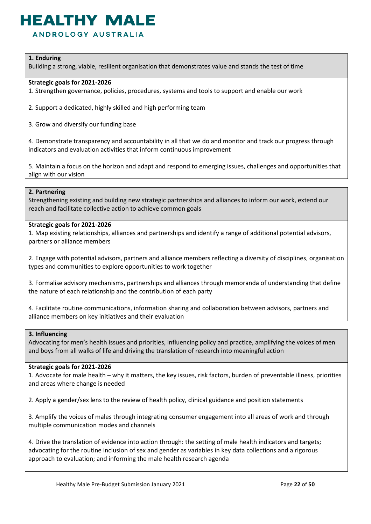ANDROLOGY AUSTRALIA

#### **1. Enduring**

Building a strong, viable, resilient organisation that demonstrates value and stands the test of time

#### **Strategic goals for 2021-2026**

1. Strengthen governance, policies, procedures, systems and tools to support and enable our work

2. Support a dedicated, highly skilled and high performing team

3. Grow and diversify our funding base

4. Demonstrate transparency and accountability in all that we do and monitor and track our progress through indicators and evaluation activities that inform continuous improvement

5. Maintain a focus on the horizon and adapt and respond to emerging issues, challenges and opportunities that align with our vision

#### **2. Partnering**

Strengthening existing and building new strategic partnerships and alliances to inform our work, extend our reach and facilitate collective action to achieve common goals

#### **Strategic goals for 2021-2026**

1. Map existing relationships, alliances and partnerships and identify a range of additional potential advisors, partners or alliance members

2. Engage with potential advisors, partners and alliance members reflecting a diversity of disciplines, organisation types and communities to explore opportunities to work together

3. Formalise advisory mechanisms, partnerships and alliances through memoranda of understanding that define the nature of each relationship and the contribution of each party

4. Facilitate routine communications, information sharing and collaboration between advisors, partners and alliance members on key initiatives and their evaluation

#### **3. Influencing**

Advocating for men's health issues and priorities, influencing policy and practice, amplifying the voices of men and boys from all walks of life and driving the translation of research into meaningful action

#### **Strategic goals for 2021-2026**

1. Advocate for male health – why it matters, the key issues, risk factors, burden of preventable illness, priorities and areas where change is needed

2. Apply a gender/sex lens to the review of health policy, clinical guidance and position statements

3. Amplify the voices of males through integrating consumer engagement into all areas of work and through multiple communication modes and channels

4. Drive the translation of evidence into action through: the setting of male health indicators and targets; advocating for the routine inclusion of sex and gender as variables in key data collections and a rigorous approach to evaluation; and informing the male health research agenda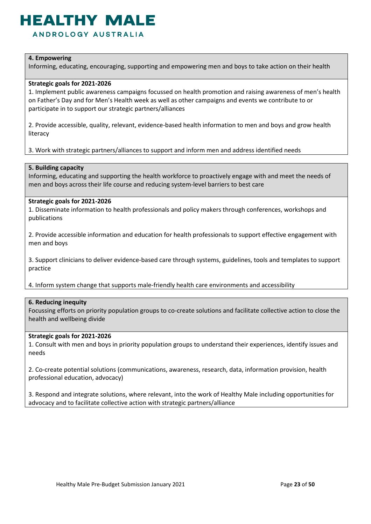### **IEALTHY MAI**

ANDROLOGY AUSTRALIA

#### **4. Empowering**

Informing, educating, encouraging, supporting and empowering men and boys to take action on their health

#### **Strategic goals for 2021-2026**

1. Implement public awareness campaigns focussed on health promotion and raising awareness of men's health on Father's Day and for Men's Health week as well as other campaigns and events we contribute to or participate in to support our strategic partners/alliances

2. Provide accessible, quality, relevant, evidence-based health information to men and boys and grow health literacy

3. Work with strategic partners/alliances to support and inform men and address identified needs

#### **5. Building capacity**

Informing, educating and supporting the health workforce to proactively engage with and meet the needs of men and boys across their life course and reducing system-level barriers to best care

#### **Strategic goals for 2021-2026**

1. Disseminate information to health professionals and policy makers through conferences, workshops and publications

2. Provide accessible information and education for health professionals to support effective engagement with men and boys

3. Support clinicians to deliver evidence-based care through systems, guidelines, tools and templates to support practice

4. Inform system change that supports male-friendly health care environments and accessibility

#### **6. Reducing inequity**

Focussing efforts on priority population groups to co-create solutions and facilitate collective action to close the health and wellbeing divide

#### **Strategic goals for 2021-2026**

1. Consult with men and boys in priority population groups to understand their experiences, identify issues and needs

2. Co-create potential solutions (communications, awareness, research, data, information provision, health professional education, advocacy)

3. Respond and integrate solutions, where relevant, into the work of Healthy Male including opportunities for advocacy and to facilitate collective action with strategic partners/alliance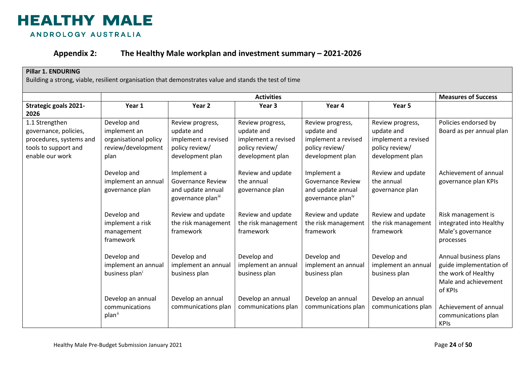

#### **Appendix 2: The Healthy Male workplan and investment summary – 2021-2026**

#### **Pillar 1. ENDURING**

<span id="page-23-0"></span>

|                                                                                                               |                                                                                    |                                                                                             | <b>Activities</b>                                                                           |                                                                                             |                                                                                             | <b>Measures of Success</b>                                                                                 |
|---------------------------------------------------------------------------------------------------------------|------------------------------------------------------------------------------------|---------------------------------------------------------------------------------------------|---------------------------------------------------------------------------------------------|---------------------------------------------------------------------------------------------|---------------------------------------------------------------------------------------------|------------------------------------------------------------------------------------------------------------|
| <b>Strategic goals 2021-</b><br>2026                                                                          | Year 1                                                                             | Year <sub>2</sub>                                                                           | Year 3                                                                                      | Year 4                                                                                      | Year 5                                                                                      |                                                                                                            |
| 1.1 Strengthen<br>governance, policies,<br>procedures, systems and<br>tools to support and<br>enable our work | Develop and<br>implement an<br>organisational policy<br>review/development<br>plan | Review progress,<br>update and<br>implement a revised<br>policy review/<br>development plan | Review progress,<br>update and<br>implement a revised<br>policy review/<br>development plan | Review progress,<br>update and<br>implement a revised<br>policy review/<br>development plan | Review progress,<br>update and<br>implement a revised<br>policy review/<br>development plan | Policies endorsed by<br>Board as per annual plan                                                           |
|                                                                                                               | Develop and<br>implement an annual<br>governance plan                              | Implement a<br><b>Governance Review</b><br>and update annual<br>governance planii           | Review and update<br>the annual<br>governance plan                                          | Implement a<br><b>Governance Review</b><br>and update annual<br>governance planiv           | Review and update<br>the annual<br>governance plan                                          | Achievement of annual<br>governance plan KPIs                                                              |
|                                                                                                               | Develop and<br>implement a risk<br>management<br>framework                         | Review and update<br>the risk management<br>framework                                       | Review and update<br>the risk management<br>framework                                       | Review and update<br>the risk management<br>framework                                       | Review and update<br>the risk management<br>framework                                       | Risk management is<br>integrated into Healthy<br>Male's governance<br>processes                            |
|                                                                                                               | Develop and<br>implement an annual<br>business plan <sup>i</sup>                   | Develop and<br>implement an annual<br>business plan                                         | Develop and<br>implement an annual<br>business plan                                         | Develop and<br>implement an annual<br>business plan                                         | Develop and<br>implement an annual<br>business plan                                         | Annual business plans<br>guide implementation of<br>the work of Healthy<br>Male and achievement<br>of KPIs |
|                                                                                                               | Develop an annual<br>communications<br>plan <sup>ii</sup>                          | Develop an annual<br>communications plan                                                    | Develop an annual<br>communications plan                                                    | Develop an annual<br>communications plan                                                    | Develop an annual<br>communications plan                                                    | Achievement of annual<br>communications plan<br><b>KPIs</b>                                                |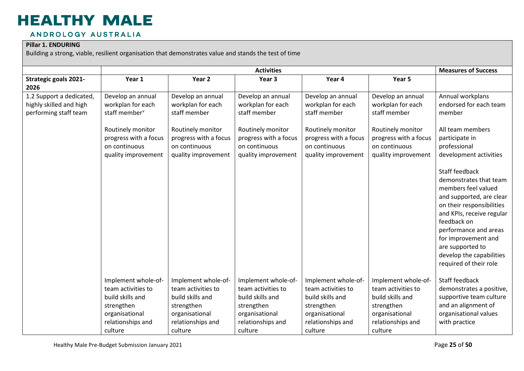#### ANDROLOGY AUSTRALIA

#### **Pillar 1. ENDURING**

|                                                                              |                                                                                                                                                           |                                                                                                                                              | <b>Activities</b>                                                                                                                            |                                                                                                                                              |                                                                                                                                              | <b>Measures of Success</b>                                                                                                                                                                                                                                                                     |
|------------------------------------------------------------------------------|-----------------------------------------------------------------------------------------------------------------------------------------------------------|----------------------------------------------------------------------------------------------------------------------------------------------|----------------------------------------------------------------------------------------------------------------------------------------------|----------------------------------------------------------------------------------------------------------------------------------------------|----------------------------------------------------------------------------------------------------------------------------------------------|------------------------------------------------------------------------------------------------------------------------------------------------------------------------------------------------------------------------------------------------------------------------------------------------|
| <b>Strategic goals 2021-</b><br>2026                                         | Year 1                                                                                                                                                    | Year 2                                                                                                                                       | Year 3                                                                                                                                       | Year 4                                                                                                                                       | Year 5                                                                                                                                       |                                                                                                                                                                                                                                                                                                |
| 1.2 Support a dedicated,<br>highly skilled and high<br>performing staff team | Develop an annual<br>workplan for each<br>staff member <sup>v</sup><br>Routinely monitor<br>progress with a focus<br>on continuous<br>quality improvement | Develop an annual<br>workplan for each<br>staff member<br>Routinely monitor<br>progress with a focus<br>on continuous<br>quality improvement | Develop an annual<br>workplan for each<br>staff member<br>Routinely monitor<br>progress with a focus<br>on continuous<br>quality improvement | Develop an annual<br>workplan for each<br>staff member<br>Routinely monitor<br>progress with a focus<br>on continuous<br>quality improvement | Develop an annual<br>workplan for each<br>staff member<br>Routinely monitor<br>progress with a focus<br>on continuous<br>quality improvement | Annual workplans<br>endorsed for each team<br>member<br>All team members<br>participate in<br>professional<br>development activities                                                                                                                                                           |
|                                                                              |                                                                                                                                                           |                                                                                                                                              |                                                                                                                                              |                                                                                                                                              |                                                                                                                                              | Staff feedback<br>demonstrates that team<br>members feel valued<br>and supported, are clear<br>on their responsibilities<br>and KPIs, receive regular<br>feedback on<br>performance and areas<br>for improvement and<br>are supported to<br>develop the capabilities<br>required of their role |
|                                                                              | Implement whole-of-<br>team activities to<br>build skills and                                                                                             | Implement whole-of-<br>team activities to<br>build skills and                                                                                | Implement whole-of-<br>team activities to<br>build skills and                                                                                | Implement whole-of-<br>team activities to<br>build skills and                                                                                | Implement whole-of-<br>team activities to<br>build skills and                                                                                | Staff feedback<br>demonstrates a positive,<br>supportive team culture                                                                                                                                                                                                                          |
|                                                                              | strengthen<br>organisational<br>relationships and<br>culture                                                                                              | strengthen<br>organisational<br>relationships and<br>culture                                                                                 | strengthen<br>organisational<br>relationships and<br>culture                                                                                 | strengthen<br>organisational<br>relationships and<br>culture                                                                                 | strengthen<br>organisational<br>relationships and<br>culture                                                                                 | and an alignment of<br>organisational values<br>with practice                                                                                                                                                                                                                                  |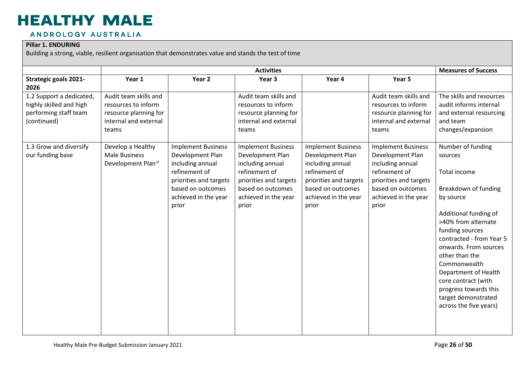#### ANDROLOGY AUSTRALIA

#### **Pillar 1. ENDURING**

|                                                                                             |                                                                                                         |                                                                                                                                                                    | <b>Activities</b>                                                                                                                                                  |                                                                                                                                                                    |                                                                                                                                                                    | <b>Measures of Success</b>                                                                                                                                                                                                                                                                                                                                           |
|---------------------------------------------------------------------------------------------|---------------------------------------------------------------------------------------------------------|--------------------------------------------------------------------------------------------------------------------------------------------------------------------|--------------------------------------------------------------------------------------------------------------------------------------------------------------------|--------------------------------------------------------------------------------------------------------------------------------------------------------------------|--------------------------------------------------------------------------------------------------------------------------------------------------------------------|----------------------------------------------------------------------------------------------------------------------------------------------------------------------------------------------------------------------------------------------------------------------------------------------------------------------------------------------------------------------|
| <b>Strategic goals 2021-</b><br>2026                                                        | Year 1                                                                                                  | Year 2                                                                                                                                                             | Year 3                                                                                                                                                             | Year 4                                                                                                                                                             | Year 5                                                                                                                                                             |                                                                                                                                                                                                                                                                                                                                                                      |
| 1.2 Support a dedicated,<br>highly skilled and high<br>performing staff team<br>(continued) | Audit team skills and<br>resources to inform<br>resource planning for<br>internal and external<br>teams |                                                                                                                                                                    | Audit team skills and<br>resources to inform<br>resource planning for<br>internal and external<br>teams                                                            |                                                                                                                                                                    | Audit team skills and<br>resources to inform<br>resource planning for<br>internal and external<br>teams                                                            | The skills and resources<br>audit informs internal<br>and external resourcing<br>and team<br>changes/expansion                                                                                                                                                                                                                                                       |
| 1.3 Grow and diversify<br>our funding base                                                  | Develop a Healthy<br><b>Male Business</b><br>Development Plan <sup>vi</sup>                             | <b>Implement Business</b><br>Development Plan<br>including annual<br>refinement of<br>priorities and targets<br>based on outcomes<br>achieved in the year<br>prior | <b>Implement Business</b><br>Development Plan<br>including annual<br>refinement of<br>priorities and targets<br>based on outcomes<br>achieved in the year<br>prior | <b>Implement Business</b><br>Development Plan<br>including annual<br>refinement of<br>priorities and targets<br>based on outcomes<br>achieved in the year<br>prior | <b>Implement Business</b><br>Development Plan<br>including annual<br>refinement of<br>priorities and targets<br>based on outcomes<br>achieved in the year<br>prior | Number of funding<br>sources<br>Total income<br>Breakdown of funding<br>by source<br>Additional funding of<br>>40% from alternate<br>funding sources<br>contracted - from Year 5<br>onwards. From sources<br>other than the<br>Commonwealth<br>Department of Health<br>core contract (with<br>progress towards this<br>target demonstrated<br>across the five years) |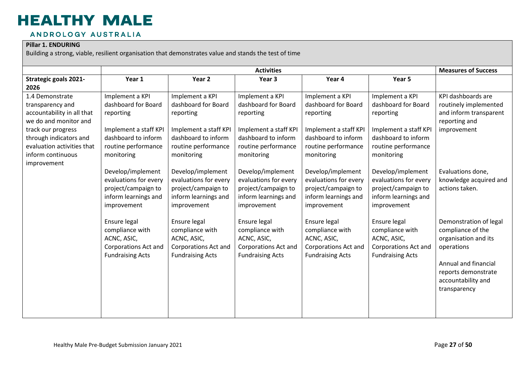#### ANDROLOGY AUSTRALIA

#### **Pillar 1. ENDURING**

|                                                                                                                                                                          |                                                                                                                            |                                                                                                                            | <b>Activities</b>                                                                                                          |                                                                                                                            |                                                                                                                            | <b>Measures of Success</b>                                                                                                                                             |
|--------------------------------------------------------------------------------------------------------------------------------------------------------------------------|----------------------------------------------------------------------------------------------------------------------------|----------------------------------------------------------------------------------------------------------------------------|----------------------------------------------------------------------------------------------------------------------------|----------------------------------------------------------------------------------------------------------------------------|----------------------------------------------------------------------------------------------------------------------------|------------------------------------------------------------------------------------------------------------------------------------------------------------------------|
| Strategic goals 2021-                                                                                                                                                    | Year 1                                                                                                                     | Year 2                                                                                                                     | Year 3                                                                                                                     | Year 4                                                                                                                     | Year 5                                                                                                                     |                                                                                                                                                                        |
| 2026                                                                                                                                                                     |                                                                                                                            |                                                                                                                            |                                                                                                                            |                                                                                                                            |                                                                                                                            |                                                                                                                                                                        |
| 1.4 Demonstrate<br>transparency and<br>accountability in all that<br>we do and monitor and<br>track our progress<br>through indicators and<br>evaluation activities that | Implement a KPI<br>dashboard for Board<br>reporting<br>Implement a staff KPI<br>dashboard to inform<br>routine performance | Implement a KPI<br>dashboard for Board<br>reporting<br>Implement a staff KPI<br>dashboard to inform<br>routine performance | Implement a KPI<br>dashboard for Board<br>reporting<br>Implement a staff KPI<br>dashboard to inform<br>routine performance | Implement a KPI<br>dashboard for Board<br>reporting<br>Implement a staff KPI<br>dashboard to inform<br>routine performance | Implement a KPI<br>dashboard for Board<br>reporting<br>Implement a staff KPI<br>dashboard to inform<br>routine performance | KPI dashboards are<br>routinely implemented<br>and inform transparent<br>reporting and<br>improvement                                                                  |
| inform continuous<br>improvement                                                                                                                                         | monitoring<br>Develop/implement<br>evaluations for every<br>project/campaign to<br>inform learnings and<br>improvement     | monitoring<br>Develop/implement<br>evaluations for every<br>project/campaign to<br>inform learnings and<br>improvement     | monitoring<br>Develop/implement<br>evaluations for every<br>project/campaign to<br>inform learnings and<br>improvement     | monitoring<br>Develop/implement<br>evaluations for every<br>project/campaign to<br>inform learnings and<br>improvement     | monitoring<br>Develop/implement<br>evaluations for every<br>project/campaign to<br>inform learnings and<br>improvement     | Evaluations done,<br>knowledge acquired and<br>actions taken.                                                                                                          |
|                                                                                                                                                                          | Ensure legal<br>compliance with<br>ACNC, ASIC,<br><b>Corporations Act and</b><br><b>Fundraising Acts</b>                   | Ensure legal<br>compliance with<br>ACNC, ASIC,<br><b>Corporations Act and</b><br><b>Fundraising Acts</b>                   | Ensure legal<br>compliance with<br>ACNC, ASIC,<br><b>Corporations Act and</b><br><b>Fundraising Acts</b>                   | Ensure legal<br>compliance with<br>ACNC, ASIC,<br><b>Corporations Act and</b><br><b>Fundraising Acts</b>                   | Ensure legal<br>compliance with<br>ACNC, ASIC,<br><b>Corporations Act and</b><br><b>Fundraising Acts</b>                   | Demonstration of legal<br>compliance of the<br>organisation and its<br>operations<br>Annual and financial<br>reports demonstrate<br>accountability and<br>transparency |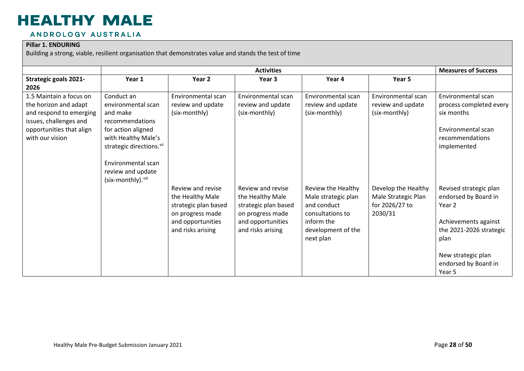#### ANDROLOGY AUSTRALIA

#### **Pillar 1. ENDURING**

|                              |                                      |                      | <b>Activities</b>    |                     |                     | <b>Measures of Success</b> |
|------------------------------|--------------------------------------|----------------------|----------------------|---------------------|---------------------|----------------------------|
| <b>Strategic goals 2021-</b> | Year 1                               | Year 2               | Year 3               | Year 4              | Year 5              |                            |
| 2026                         |                                      |                      |                      |                     |                     |                            |
| 1.5 Maintain a focus on      | Conduct an                           | Environmental scan   | Environmental scan   | Environmental scan  | Environmental scan  | Environmental scan         |
| the horizon and adapt        | environmental scan                   | review and update    | review and update    | review and update   | review and update   | process completed every    |
| and respond to emerging      | and make                             | (six-monthly)        | (six-monthly)        | (six-monthly)       | (six-monthly)       | six months                 |
| issues, challenges and       | recommendations                      |                      |                      |                     |                     |                            |
| opportunities that align     | for action aligned                   |                      |                      |                     |                     | Environmental scan         |
| with our vision              | with Healthy Male's                  |                      |                      |                     |                     | recommendations            |
|                              | strategic directions. <sup>vii</sup> |                      |                      |                     |                     | implemented                |
|                              |                                      |                      |                      |                     |                     |                            |
|                              | Environmental scan                   |                      |                      |                     |                     |                            |
|                              | review and update                    |                      |                      |                     |                     |                            |
|                              | (six-monthly). viii                  |                      |                      |                     |                     |                            |
|                              |                                      | Review and revise    | Review and revise    | Review the Healthy  | Develop the Healthy | Revised strategic plan     |
|                              |                                      | the Healthy Male     | the Healthy Male     | Male strategic plan | Male Strategic Plan | endorsed by Board in       |
|                              |                                      | strategic plan based | strategic plan based | and conduct         | for 2026/27 to      | Year 2                     |
|                              |                                      | on progress made     | on progress made     | consultations to    | 2030/31             |                            |
|                              |                                      | and opportunities    | and opportunities    | inform the          |                     | Achievements against       |
|                              |                                      | and risks arising    | and risks arising    | development of the  |                     | the 2021-2026 strategic    |
|                              |                                      |                      |                      | next plan           |                     | plan                       |
|                              |                                      |                      |                      |                     |                     |                            |
|                              |                                      |                      |                      |                     |                     | New strategic plan         |
|                              |                                      |                      |                      |                     |                     | endorsed by Board in       |
|                              |                                      |                      |                      |                     |                     | Year 5                     |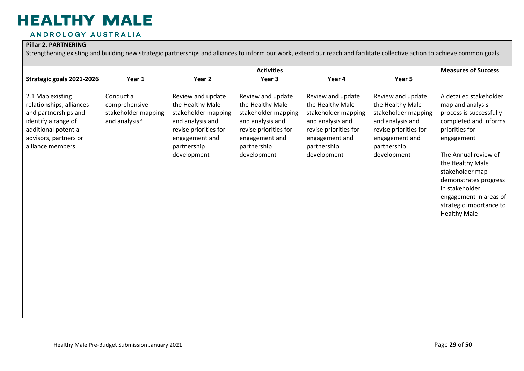#### ANDROLOGY AUSTRALIA

#### **Pillar 2. PARTNERING**

Strengthening existing and building new strategic partnerships and alliances to inform our work, extend our reach and facilitate collective action to achieve common goals

|                                                                                                                                                                  |                                                                     |                                                                                                                                                           | <b>Activities</b>                                                                                                                                         |                                                                                                                                                           |                                                                                                                                                           | <b>Measures of Success</b>                                                                                                                                                                                                                                                                                           |
|------------------------------------------------------------------------------------------------------------------------------------------------------------------|---------------------------------------------------------------------|-----------------------------------------------------------------------------------------------------------------------------------------------------------|-----------------------------------------------------------------------------------------------------------------------------------------------------------|-----------------------------------------------------------------------------------------------------------------------------------------------------------|-----------------------------------------------------------------------------------------------------------------------------------------------------------|----------------------------------------------------------------------------------------------------------------------------------------------------------------------------------------------------------------------------------------------------------------------------------------------------------------------|
| Strategic goals 2021-2026                                                                                                                                        | Year 1                                                              | Year 2                                                                                                                                                    | Year 3                                                                                                                                                    | Year 4                                                                                                                                                    | Year 5                                                                                                                                                    |                                                                                                                                                                                                                                                                                                                      |
| 2.1 Map existing<br>relationships, alliances<br>and partnerships and<br>identify a range of<br>additional potential<br>advisors, partners or<br>alliance members | Conduct a<br>comprehensive<br>stakeholder mapping<br>and analysisix | Review and update<br>the Healthy Male<br>stakeholder mapping<br>and analysis and<br>revise priorities for<br>engagement and<br>partnership<br>development | Review and update<br>the Healthy Male<br>stakeholder mapping<br>and analysis and<br>revise priorities for<br>engagement and<br>partnership<br>development | Review and update<br>the Healthy Male<br>stakeholder mapping<br>and analysis and<br>revise priorities for<br>engagement and<br>partnership<br>development | Review and update<br>the Healthy Male<br>stakeholder mapping<br>and analysis and<br>revise priorities for<br>engagement and<br>partnership<br>development | A detailed stakeholder<br>map and analysis<br>process is successfully<br>completed and informs<br>priorities for<br>engagement<br>The Annual review of<br>the Healthy Male<br>stakeholder map<br>demonstrates progress<br>in stakeholder<br>engagement in areas of<br>strategic importance to<br><b>Healthy Male</b> |
|                                                                                                                                                                  |                                                                     |                                                                                                                                                           |                                                                                                                                                           |                                                                                                                                                           |                                                                                                                                                           |                                                                                                                                                                                                                                                                                                                      |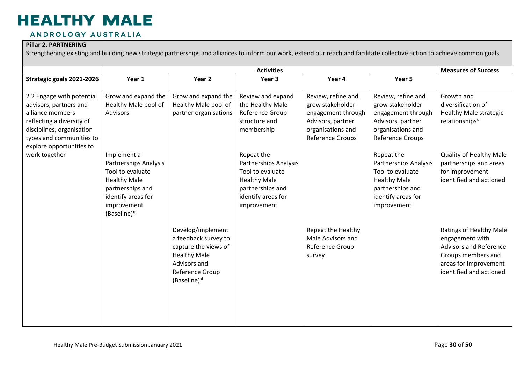#### ANDROLOGY AUSTRALIA

#### **Pillar 2. PARTNERING**

Strengthening existing and building new strategic partnerships and alliances to inform our work, extend our reach and facilitate collective action to achieve common goals

|                                                                                                                                                                                           |                                                                                                                                                                     |                                                                                                                                                         | <b>Activities</b>                                                                                                                              |                                                                                                                            |                                                                                                                                                | <b>Measures of Success</b>                                                                                                                            |
|-------------------------------------------------------------------------------------------------------------------------------------------------------------------------------------------|---------------------------------------------------------------------------------------------------------------------------------------------------------------------|---------------------------------------------------------------------------------------------------------------------------------------------------------|------------------------------------------------------------------------------------------------------------------------------------------------|----------------------------------------------------------------------------------------------------------------------------|------------------------------------------------------------------------------------------------------------------------------------------------|-------------------------------------------------------------------------------------------------------------------------------------------------------|
| Strategic goals 2021-2026                                                                                                                                                                 | Year 1                                                                                                                                                              | Year 2                                                                                                                                                  | Year <sub>3</sub>                                                                                                                              | Year 4                                                                                                                     | Year 5                                                                                                                                         |                                                                                                                                                       |
| 2.2 Engage with potential<br>advisors, partners and<br>alliance members<br>reflecting a diversity of<br>disciplines, organisation<br>types and communities to<br>explore opportunities to | Grow and expand the<br>Healthy Male pool of<br><b>Advisors</b>                                                                                                      | Grow and expand the<br>Healthy Male pool of<br>partner organisations                                                                                    | Review and expand<br>the Healthy Male<br>Reference Group<br>structure and<br>membership                                                        | Review, refine and<br>grow stakeholder<br>engagement through<br>Advisors, partner<br>organisations and<br>Reference Groups | Review, refine and<br>grow stakeholder<br>engagement through<br>Advisors, partner<br>organisations and<br>Reference Groups                     | Growth and<br>diversification of<br>Healthy Male strategic<br>relationships <sup>xii</sup>                                                            |
| work together                                                                                                                                                                             | Implement a<br>Partnerships Analysis<br>Tool to evaluate<br><b>Healthy Male</b><br>partnerships and<br>identify areas for<br>improvement<br>(Baseline) <sup>x</sup> |                                                                                                                                                         | Repeat the<br><b>Partnerships Analysis</b><br>Tool to evaluate<br><b>Healthy Male</b><br>partnerships and<br>identify areas for<br>improvement |                                                                                                                            | Repeat the<br><b>Partnerships Analysis</b><br>Tool to evaluate<br><b>Healthy Male</b><br>partnerships and<br>identify areas for<br>improvement | Quality of Healthy Male<br>partnerships and areas<br>for improvement<br>identified and actioned                                                       |
|                                                                                                                                                                                           |                                                                                                                                                                     | Develop/implement<br>a feedback survey to<br>capture the views of<br><b>Healthy Male</b><br>Advisors and<br>Reference Group<br>(Baseline) <sup>xi</sup> |                                                                                                                                                | Repeat the Healthy<br>Male Advisors and<br>Reference Group<br>survey                                                       |                                                                                                                                                | Ratings of Healthy Male<br>engagement with<br><b>Advisors and Reference</b><br>Groups members and<br>areas for improvement<br>identified and actioned |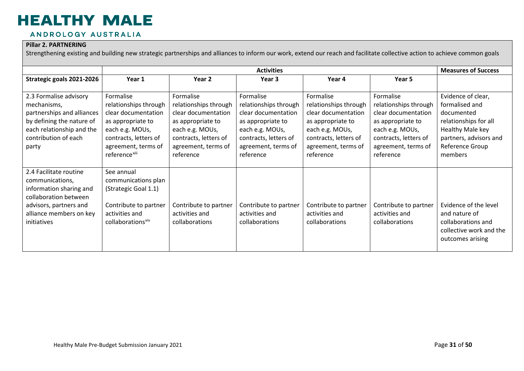#### ANDROLOGY AUSTRALIA

#### **Pillar 2. PARTNERING**

Strengthening existing and building new strategic partnerships and alliances to inform our work, extend our reach and facilitate collective action to achieve common goals

|                                                                                                                                                                   |                                                                                                                                                                                |                                                                                                                                                                | <b>Activities</b>                                                                                                                                              |                                                                                                                                                                |                                                                                                                                                                | <b>Measures of Success</b>                                                                                                                              |
|-------------------------------------------------------------------------------------------------------------------------------------------------------------------|--------------------------------------------------------------------------------------------------------------------------------------------------------------------------------|----------------------------------------------------------------------------------------------------------------------------------------------------------------|----------------------------------------------------------------------------------------------------------------------------------------------------------------|----------------------------------------------------------------------------------------------------------------------------------------------------------------|----------------------------------------------------------------------------------------------------------------------------------------------------------------|---------------------------------------------------------------------------------------------------------------------------------------------------------|
| Strategic goals 2021-2026                                                                                                                                         | Year 1                                                                                                                                                                         | Year 2                                                                                                                                                         | Year 3                                                                                                                                                         | Year 4                                                                                                                                                         | Year 5                                                                                                                                                         |                                                                                                                                                         |
| 2.3 Formalise advisory<br>mechanisms,<br>partnerships and alliances<br>by defining the nature of<br>each relationship and the<br>contribution of each<br>party    | Formalise<br>relationships through<br>clear documentation<br>as appropriate to<br>each e.g. MOUs,<br>contracts, letters of<br>agreement, terms of<br>reference <sup>xiii</sup> | Formalise<br>relationships through<br>clear documentation<br>as appropriate to<br>each e.g. MOUs,<br>contracts, letters of<br>agreement, terms of<br>reference | Formalise<br>relationships through<br>clear documentation<br>as appropriate to<br>each e.g. MOUs,<br>contracts, letters of<br>agreement, terms of<br>reference | Formalise<br>relationships through<br>clear documentation<br>as appropriate to<br>each e.g. MOUs,<br>contracts, letters of<br>agreement, terms of<br>reference | Formalise<br>relationships through<br>clear documentation<br>as appropriate to<br>each e.g. MOUs,<br>contracts, letters of<br>agreement, terms of<br>reference | Evidence of clear,<br>formalised and<br>documented<br>relationships for all<br>Healthy Male key<br>partners, advisors and<br>Reference Group<br>members |
| 2.4 Facilitate routine<br>communications,<br>information sharing and<br>collaboration between<br>advisors, partners and<br>alliance members on key<br>initiatives | See annual<br>communications plan<br>(Strategic Goal 1.1)<br>Contribute to partner<br>activities and<br>collaborations <sup>xiv</sup>                                          | Contribute to partner<br>activities and<br>collaborations                                                                                                      | Contribute to partner<br>activities and<br>collaborations                                                                                                      | Contribute to partner<br>activities and<br>collaborations                                                                                                      | Contribute to partner<br>activities and<br>collaborations                                                                                                      | Evidence of the level<br>and nature of<br>collaborations and<br>collective work and the<br>outcomes arising                                             |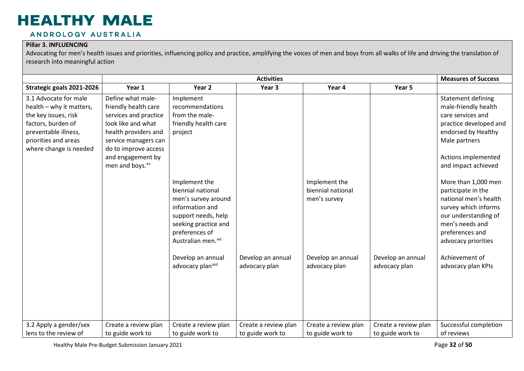#### ANDROLOGY AUSTRALIA

#### **Pillar 3. INFLUENCING**

Advocating for men's health issues and priorities, influencing policy and practice, amplifying the voices of men and boys from all walks of life and driving the translation of research into meaningful action

|                                                                                                                                                                           |                                                                                                                                                                                                                      | <b>Measures of Success</b>                                                                                                                                                                                                                                           |                                          |                                                    |                                          |                                                                                                                                                                                                                                                                                                                                                                           |
|---------------------------------------------------------------------------------------------------------------------------------------------------------------------------|----------------------------------------------------------------------------------------------------------------------------------------------------------------------------------------------------------------------|----------------------------------------------------------------------------------------------------------------------------------------------------------------------------------------------------------------------------------------------------------------------|------------------------------------------|----------------------------------------------------|------------------------------------------|---------------------------------------------------------------------------------------------------------------------------------------------------------------------------------------------------------------------------------------------------------------------------------------------------------------------------------------------------------------------------|
| Strategic goals 2021-2026                                                                                                                                                 | Year 1                                                                                                                                                                                                               | Year 2                                                                                                                                                                                                                                                               | Year 3                                   | Year 4                                             | Year 5                                   |                                                                                                                                                                                                                                                                                                                                                                           |
| 3.1 Advocate for male<br>health - why it matters,<br>the key issues, risk<br>factors, burden of<br>preventable illness,<br>priorities and areas<br>where change is needed | Define what male-<br>friendly health care<br>services and practice<br>look like and what<br>health providers and<br>service managers can<br>do to improve access<br>and engagement by<br>men and boys. <sup>xv</sup> | Implement<br>recommendations<br>from the male-<br>friendly health care<br>project<br>Implement the<br>biennial national<br>men's survey around<br>information and<br>support needs, help<br>seeking practice and<br>preferences of<br>Australian men. <sup>xvi</sup> |                                          | Implement the<br>biennial national<br>men's survey |                                          | <b>Statement defining</b><br>male-friendly health<br>care services and<br>practice developed and<br>endorsed by Healthy<br>Male partners<br>Actions implemented<br>and impact achieved<br>More than 1,000 men<br>participate in the<br>national men's health<br>survey which informs<br>our understanding of<br>men's needs and<br>preferences and<br>advocacy priorities |
|                                                                                                                                                                           |                                                                                                                                                                                                                      | Develop an annual<br>advocacy plan <sup>xvii</sup>                                                                                                                                                                                                                   | Develop an annual<br>advocacy plan       | Develop an annual<br>advocacy plan                 | Develop an annual<br>advocacy plan       | Achievement of<br>advocacy plan KPIs                                                                                                                                                                                                                                                                                                                                      |
| 3.2 Apply a gender/sex<br>lens to the review of                                                                                                                           | Create a review plan<br>to guide work to                                                                                                                                                                             | Create a review plan<br>to guide work to                                                                                                                                                                                                                             | Create a review plan<br>to guide work to | Create a review plan<br>to guide work to           | Create a review plan<br>to guide work to | Successful completion<br>of reviews                                                                                                                                                                                                                                                                                                                                       |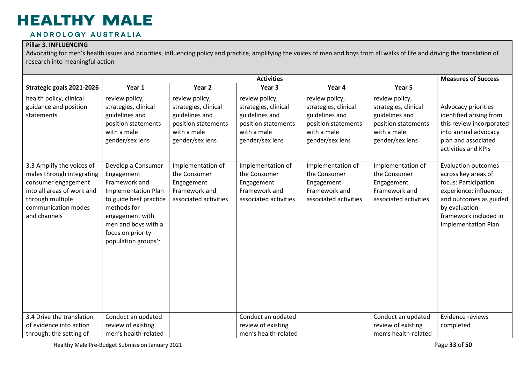#### ANDROLOGY AUSTRALIA

#### **Pillar 3. INFLUENCING**

Advocating for men's health issues and priorities, influencing policy and practice, amplifying the voices of men and boys from all walks of life and driving the translation of research into meaningful action

|                                                                                                                                                                        |                                                                                                                                                                                                                               |                                                                                                                   | <b>Activities</b>                                                                                                 |                                                                                                                   |                                                                                                                   | <b>Measures of Success</b>                                                                                                                                                                            |
|------------------------------------------------------------------------------------------------------------------------------------------------------------------------|-------------------------------------------------------------------------------------------------------------------------------------------------------------------------------------------------------------------------------|-------------------------------------------------------------------------------------------------------------------|-------------------------------------------------------------------------------------------------------------------|-------------------------------------------------------------------------------------------------------------------|-------------------------------------------------------------------------------------------------------------------|-------------------------------------------------------------------------------------------------------------------------------------------------------------------------------------------------------|
| Strategic goals 2021-2026                                                                                                                                              | Year 1                                                                                                                                                                                                                        | Year 2                                                                                                            | Year 3                                                                                                            | Year 4                                                                                                            | Year 5                                                                                                            |                                                                                                                                                                                                       |
| health policy, clinical<br>guidance and position<br>statements                                                                                                         | review policy,<br>strategies, clinical<br>guidelines and<br>position statements<br>with a male<br>gender/sex lens                                                                                                             | review policy,<br>strategies, clinical<br>guidelines and<br>position statements<br>with a male<br>gender/sex lens | review policy,<br>strategies, clinical<br>guidelines and<br>position statements<br>with a male<br>gender/sex lens | review policy,<br>strategies, clinical<br>guidelines and<br>position statements<br>with a male<br>gender/sex lens | review policy,<br>strategies, clinical<br>guidelines and<br>position statements<br>with a male<br>gender/sex lens | Advocacy priorities<br>identified arising from<br>this review incorporated<br>into annual advocacy<br>plan and associated<br>activities and KPIs                                                      |
| 3.3 Amplify the voices of<br>males through integrating<br>consumer engagement<br>into all areas of work and<br>through multiple<br>communication modes<br>and channels | Develop a Consumer<br>Engagement<br>Framework and<br><b>Implementation Plan</b><br>to guide best practice<br>methods for<br>engagement with<br>men and boys with a<br>focus on priority<br>population groups <sup>xviii</sup> | Implementation of<br>the Consumer<br>Engagement<br>Framework and<br>associated activities                         | Implementation of<br>the Consumer<br>Engagement<br>Framework and<br>associated activities                         | Implementation of<br>the Consumer<br>Engagement<br>Framework and<br>associated activities                         | Implementation of<br>the Consumer<br>Engagement<br>Framework and<br>associated activities                         | <b>Evaluation outcomes</b><br>across key areas of<br>focus: Participation<br>experience; influence;<br>and outcomes as guided<br>by evaluation<br>framework included in<br><b>Implementation Plan</b> |
| 3.4 Drive the translation                                                                                                                                              | Conduct an updated                                                                                                                                                                                                            |                                                                                                                   | Conduct an updated                                                                                                |                                                                                                                   | Conduct an updated                                                                                                | Evidence reviews                                                                                                                                                                                      |
| of evidence into action                                                                                                                                                | review of existing                                                                                                                                                                                                            |                                                                                                                   | review of existing                                                                                                |                                                                                                                   | review of existing                                                                                                | completed                                                                                                                                                                                             |
| through: the setting of                                                                                                                                                | men's health-related                                                                                                                                                                                                          |                                                                                                                   | men's health-related                                                                                              |                                                                                                                   | men's health-related                                                                                              |                                                                                                                                                                                                       |

Healthy Male Pre-Budget Submission January 2021 and the state of the state of the state of the state of the Page 33 of 50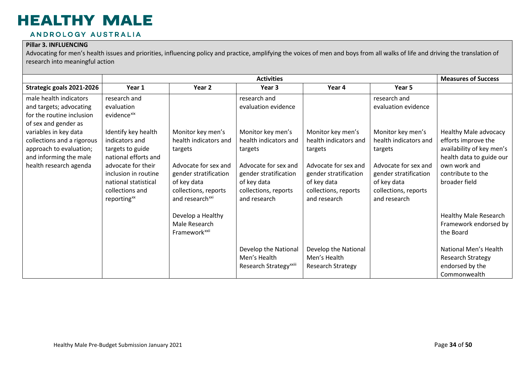#### ANDROLOGY AUSTRALIA

#### **Pillar 3. INFLUENCING**

Advocating for men's health issues and priorities, influencing policy and practice, amplifying the voices of men and boys from all walks of life and driving the translation of research into meaningful action

|                                                                                                                                                                                                                                              |                                                                                                                                                                                                                                                                |                                                                                                                                                                              | <b>Activities</b>                                                                                                                                                                                    |                                                                                                                                                               |                                                                                                                                                                                                      | <b>Measures of Success</b>                                                                                                                                  |
|----------------------------------------------------------------------------------------------------------------------------------------------------------------------------------------------------------------------------------------------|----------------------------------------------------------------------------------------------------------------------------------------------------------------------------------------------------------------------------------------------------------------|------------------------------------------------------------------------------------------------------------------------------------------------------------------------------|------------------------------------------------------------------------------------------------------------------------------------------------------------------------------------------------------|---------------------------------------------------------------------------------------------------------------------------------------------------------------|------------------------------------------------------------------------------------------------------------------------------------------------------------------------------------------------------|-------------------------------------------------------------------------------------------------------------------------------------------------------------|
| Strategic goals 2021-2026                                                                                                                                                                                                                    | Year 1                                                                                                                                                                                                                                                         | Year 2                                                                                                                                                                       | Year 3                                                                                                                                                                                               | Year 4                                                                                                                                                        | Year 5                                                                                                                                                                                               |                                                                                                                                                             |
| male health indicators<br>and targets; advocating<br>for the routine inclusion<br>of sex and gender as<br>variables in key data<br>collections and a rigorous<br>approach to evaluation;<br>and informing the male<br>health research agenda | research and<br>evaluation<br>evidence <sup>xix</sup><br>Identify key health<br>indicators and<br>targets to guide<br>national efforts and<br>advocate for their<br>inclusion in routine<br>national statistical<br>collections and<br>reporting <sup>xx</sup> | Monitor key men's<br>health indicators and<br>targets<br>Advocate for sex and<br>gender stratification<br>of key data<br>collections, reports<br>and research <sup>xxi</sup> | research and<br>evaluation evidence<br>Monitor key men's<br>health indicators and<br>targets<br>Advocate for sex and<br>gender stratification<br>of key data<br>collections, reports<br>and research | Monitor key men's<br>health indicators and<br>targets<br>Advocate for sex and<br>gender stratification<br>of key data<br>collections, reports<br>and research | research and<br>evaluation evidence<br>Monitor key men's<br>health indicators and<br>targets<br>Advocate for sex and<br>gender stratification<br>of key data<br>collections, reports<br>and research | Healthy Male advocacy<br>efforts improve the<br>availability of key men's<br>health data to guide our<br>own work and<br>contribute to the<br>broader field |
|                                                                                                                                                                                                                                              |                                                                                                                                                                                                                                                                | Develop a Healthy<br>Male Research<br>Framework <sup>xxii</sup>                                                                                                              | Develop the National<br>Men's Health<br>Research Strategy <sup>xxiii</sup>                                                                                                                           | Develop the National<br>Men's Health<br><b>Research Strategy</b>                                                                                              |                                                                                                                                                                                                      | <b>Healthy Male Research</b><br>Framework endorsed by<br>the Board<br>National Men's Health<br><b>Research Strategy</b><br>endorsed by the<br>Commonwealth  |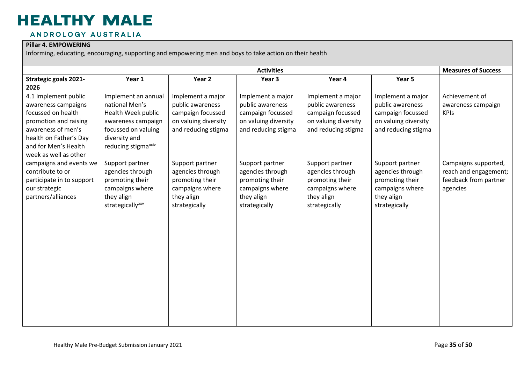#### ANDROLOGY AUSTRALIA

#### **Pillar 4. EMPOWERING**

|                                                                                                                                                                                             |                                                                                                                                                              |                                                                                                           | <b>Activities</b>                                                                                         |                                                                                                           |                                                                                                           | <b>Measures of Success</b>                                                         |
|---------------------------------------------------------------------------------------------------------------------------------------------------------------------------------------------|--------------------------------------------------------------------------------------------------------------------------------------------------------------|-----------------------------------------------------------------------------------------------------------|-----------------------------------------------------------------------------------------------------------|-----------------------------------------------------------------------------------------------------------|-----------------------------------------------------------------------------------------------------------|------------------------------------------------------------------------------------|
| <b>Strategic goals 2021-</b><br>2026                                                                                                                                                        | Year 1                                                                                                                                                       | Year 2                                                                                                    | Year 3                                                                                                    | Year 4                                                                                                    | Year 5                                                                                                    |                                                                                    |
| 4.1 Implement public<br>awareness campaigns<br>focussed on health<br>promotion and raising<br>awareness of men's<br>health on Father's Day<br>and for Men's Health<br>week as well as other | Implement an annual<br>national Men's<br>Health Week public<br>awareness campaign<br>focussed on valuing<br>diversity and<br>reducing stigma <sup>xxiv</sup> | Implement a major<br>public awareness<br>campaign focussed<br>on valuing diversity<br>and reducing stigma | Implement a major<br>public awareness<br>campaign focussed<br>on valuing diversity<br>and reducing stigma | Implement a major<br>public awareness<br>campaign focussed<br>on valuing diversity<br>and reducing stigma | Implement a major<br>public awareness<br>campaign focussed<br>on valuing diversity<br>and reducing stigma | Achievement of<br>awareness campaign<br><b>KPIs</b>                                |
| campaigns and events we<br>contribute to or<br>participate in to support<br>our strategic<br>partners/alliances                                                                             | Support partner<br>agencies through<br>promoting their<br>campaigns where<br>they align<br>strategically <sup>xxv</sup>                                      | Support partner<br>agencies through<br>promoting their<br>campaigns where<br>they align<br>strategically  | Support partner<br>agencies through<br>promoting their<br>campaigns where<br>they align<br>strategically  | Support partner<br>agencies through<br>promoting their<br>campaigns where<br>they align<br>strategically  | Support partner<br>agencies through<br>promoting their<br>campaigns where<br>they align<br>strategically  | Campaigns supported,<br>reach and engagement;<br>feedback from partner<br>agencies |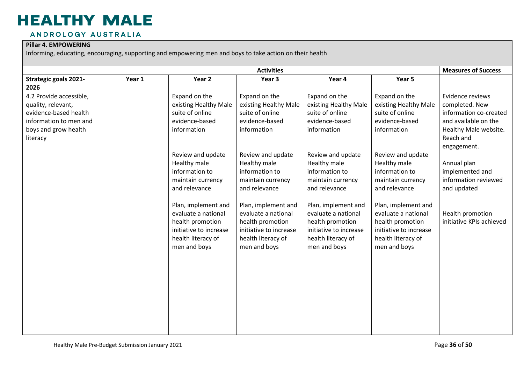#### ANDROLOGY AUSTRALIA

#### **Pillar 4. EMPOWERING**

|                                                                                                                                      |        | <b>Measures of Success</b>                                                                                                     |                                                                                                                                |                                                                                                                                |                                                                                                                                |                                                                                                                                           |
|--------------------------------------------------------------------------------------------------------------------------------------|--------|--------------------------------------------------------------------------------------------------------------------------------|--------------------------------------------------------------------------------------------------------------------------------|--------------------------------------------------------------------------------------------------------------------------------|--------------------------------------------------------------------------------------------------------------------------------|-------------------------------------------------------------------------------------------------------------------------------------------|
| <b>Strategic goals 2021-</b><br>2026                                                                                                 | Year 1 | Year 2                                                                                                                         | <b>Activities</b><br>Year 3                                                                                                    | Year 4                                                                                                                         | Year 5                                                                                                                         |                                                                                                                                           |
| 4.2 Provide accessible,<br>quality, relevant,<br>evidence-based health<br>information to men and<br>boys and grow health<br>literacy |        | Expand on the<br>existing Healthy Male<br>suite of online<br>evidence-based<br>information                                     | Expand on the<br>existing Healthy Male<br>suite of online<br>evidence-based<br>information                                     | Expand on the<br>existing Healthy Male<br>suite of online<br>evidence-based<br>information                                     | Expand on the<br>existing Healthy Male<br>suite of online<br>evidence-based<br>information                                     | Evidence reviews<br>completed. New<br>information co-created<br>and available on the<br>Healthy Male website.<br>Reach and<br>engagement. |
|                                                                                                                                      |        | Review and update<br>Healthy male<br>information to<br>maintain currency<br>and relevance                                      | Review and update<br>Healthy male<br>information to<br>maintain currency<br>and relevance                                      | Review and update<br>Healthy male<br>information to<br>maintain currency<br>and relevance                                      | Review and update<br>Healthy male<br>information to<br>maintain currency<br>and relevance                                      | Annual plan<br>implemented and<br>information reviewed<br>and updated                                                                     |
|                                                                                                                                      |        | Plan, implement and<br>evaluate a national<br>health promotion<br>initiative to increase<br>health literacy of<br>men and boys | Plan, implement and<br>evaluate a national<br>health promotion<br>initiative to increase<br>health literacy of<br>men and boys | Plan, implement and<br>evaluate a national<br>health promotion<br>initiative to increase<br>health literacy of<br>men and boys | Plan, implement and<br>evaluate a national<br>health promotion<br>initiative to increase<br>health literacy of<br>men and boys | Health promotion<br>initiative KPIs achieved                                                                                              |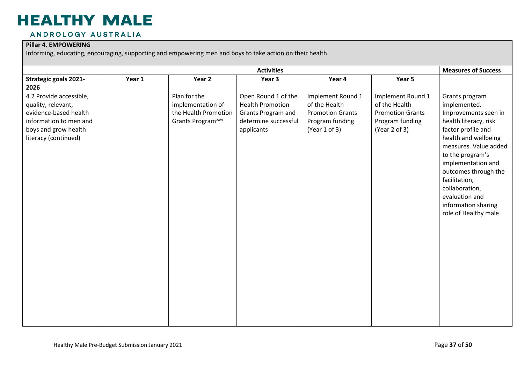#### ANDROLOGY AUSTRALIA

#### **Pillar 4. EMPOWERING**

|                                                                                                                                                  |        | <b>Measures of Success</b>                                                                  |                                                                                                            |                                                                                                   |                                                                                                   |                                                                                                                                                                                                                                                                                                                              |
|--------------------------------------------------------------------------------------------------------------------------------------------------|--------|---------------------------------------------------------------------------------------------|------------------------------------------------------------------------------------------------------------|---------------------------------------------------------------------------------------------------|---------------------------------------------------------------------------------------------------|------------------------------------------------------------------------------------------------------------------------------------------------------------------------------------------------------------------------------------------------------------------------------------------------------------------------------|
| <b>Strategic goals 2021-</b><br>2026                                                                                                             | Year 1 | Year 2                                                                                      | Year 3                                                                                                     | Year 4                                                                                            | Year 5                                                                                            |                                                                                                                                                                                                                                                                                                                              |
| 4.2 Provide accessible,<br>quality, relevant,<br>evidence-based health<br>information to men and<br>boys and grow health<br>literacy (continued) |        | Plan for the<br>implementation of<br>the Health Promotion<br>Grants Program <sup>xxvi</sup> | Open Round 1 of the<br><b>Health Promotion</b><br>Grants Program and<br>determine successful<br>applicants | Implement Round 1<br>of the Health<br><b>Promotion Grants</b><br>Program funding<br>(Year 1 of 3) | Implement Round 1<br>of the Health<br><b>Promotion Grants</b><br>Program funding<br>(Year 2 of 3) | Grants program<br>implemented.<br>Improvements seen in<br>health literacy, risk<br>factor profile and<br>health and wellbeing<br>measures. Value added<br>to the program's<br>implementation and<br>outcomes through the<br>facilitation,<br>collaboration,<br>evaluation and<br>information sharing<br>role of Healthy male |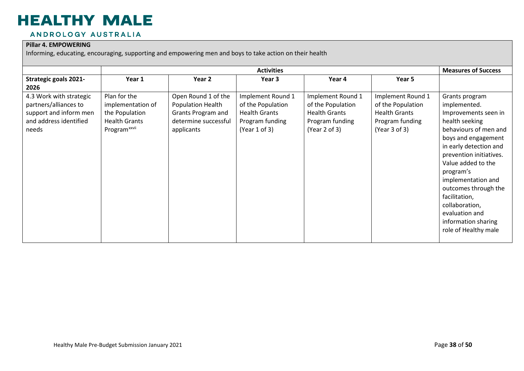#### ANDROLOGY AUSTRALIA

#### **Pillar 4. EMPOWERING**

|                                                                                                               |                                                                                                         |                                                                                                      | <b>Activities</b>                                                                                  |                                                                                                    |                                                                                                    | <b>Measures of Success</b>                                                                                                                                                                                                                                                                                                                                         |
|---------------------------------------------------------------------------------------------------------------|---------------------------------------------------------------------------------------------------------|------------------------------------------------------------------------------------------------------|----------------------------------------------------------------------------------------------------|----------------------------------------------------------------------------------------------------|----------------------------------------------------------------------------------------------------|--------------------------------------------------------------------------------------------------------------------------------------------------------------------------------------------------------------------------------------------------------------------------------------------------------------------------------------------------------------------|
| <b>Strategic goals 2021-</b><br>2026                                                                          | Year 1                                                                                                  | Year 2                                                                                               | Year 3                                                                                             | Year 4                                                                                             | Year 5                                                                                             |                                                                                                                                                                                                                                                                                                                                                                    |
| 4.3 Work with strategic<br>partners/alliances to<br>support and inform men<br>and address identified<br>needs | Plan for the<br>implementation of<br>the Population<br><b>Health Grants</b><br>Program <sup>xxvii</sup> | Open Round 1 of the<br>Population Health<br>Grants Program and<br>determine successful<br>applicants | Implement Round 1<br>of the Population<br><b>Health Grants</b><br>Program funding<br>(Year 1 of 3) | Implement Round 1<br>of the Population<br><b>Health Grants</b><br>Program funding<br>(Year 2 of 3) | Implement Round 1<br>of the Population<br><b>Health Grants</b><br>Program funding<br>(Year 3 of 3) | Grants program<br>implemented.<br>Improvements seen in<br>health seeking<br>behaviours of men and<br>boys and engagement<br>in early detection and<br>prevention initiatives.<br>Value added to the<br>program's<br>implementation and<br>outcomes through the<br>facilitation,<br>collaboration,<br>evaluation and<br>information sharing<br>role of Healthy male |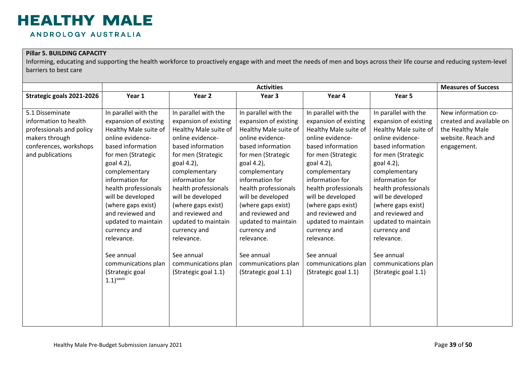### **HEALTHY MALE** ANDROLOGY AUSTRALIA

#### **Pillar 5. BUILDING CAPACITY**

|                                                                                                                                      |                                                                                                                                                                                                                                                                                                                                                                                                                         | <b>Measures of Success</b>                                                                                                                                                                                                                                                                                                                                                                       |                                                                                                                                                                                                                                                                                                                                                                                                                       |                                                                                                                                                                                                                                                                                                                                                                                                  |                                                                                                                                                                                                                                                                                                                                                                                                  |                                                                                                          |
|--------------------------------------------------------------------------------------------------------------------------------------|-------------------------------------------------------------------------------------------------------------------------------------------------------------------------------------------------------------------------------------------------------------------------------------------------------------------------------------------------------------------------------------------------------------------------|--------------------------------------------------------------------------------------------------------------------------------------------------------------------------------------------------------------------------------------------------------------------------------------------------------------------------------------------------------------------------------------------------|-----------------------------------------------------------------------------------------------------------------------------------------------------------------------------------------------------------------------------------------------------------------------------------------------------------------------------------------------------------------------------------------------------------------------|--------------------------------------------------------------------------------------------------------------------------------------------------------------------------------------------------------------------------------------------------------------------------------------------------------------------------------------------------------------------------------------------------|--------------------------------------------------------------------------------------------------------------------------------------------------------------------------------------------------------------------------------------------------------------------------------------------------------------------------------------------------------------------------------------------------|----------------------------------------------------------------------------------------------------------|
| Strategic goals 2021-2026                                                                                                            | Year 1                                                                                                                                                                                                                                                                                                                                                                                                                  | Year 2                                                                                                                                                                                                                                                                                                                                                                                           | Year 3                                                                                                                                                                                                                                                                                                                                                                                                                | Year 4                                                                                                                                                                                                                                                                                                                                                                                           | Year 5                                                                                                                                                                                                                                                                                                                                                                                           |                                                                                                          |
| 5.1 Disseminate<br>information to health<br>professionals and policy<br>makers through<br>conferences, workshops<br>and publications | In parallel with the<br>expansion of existing<br>Healthy Male suite of<br>online evidence-<br>based information<br>for men (Strategic<br>goal 4.2),<br>complementary<br>information for<br>health professionals<br>will be developed<br>(where gaps exist)<br>and reviewed and<br>updated to maintain<br>currency and<br>relevance.<br>See annual<br>communications plan<br>(Strategic goal<br>$1.1)$ <sup>xxviii</sup> | In parallel with the<br>expansion of existing<br>Healthy Male suite of<br>online evidence-<br>based information<br>for men (Strategic<br>goal 4.2),<br>complementary<br>information for<br>health professionals<br>will be developed<br>(where gaps exist)<br>and reviewed and<br>updated to maintain<br>currency and<br>relevance.<br>See annual<br>communications plan<br>(Strategic goal 1.1) | <b>Activities</b><br>In parallel with the<br>expansion of existing<br>Healthy Male suite of<br>online evidence-<br>based information<br>for men (Strategic<br>goal 4.2),<br>complementary<br>information for<br>health professionals<br>will be developed<br>(where gaps exist)<br>and reviewed and<br>updated to maintain<br>currency and<br>relevance.<br>See annual<br>communications plan<br>(Strategic goal 1.1) | In parallel with the<br>expansion of existing<br>Healthy Male suite of<br>online evidence-<br>based information<br>for men (Strategic<br>goal 4.2),<br>complementary<br>information for<br>health professionals<br>will be developed<br>(where gaps exist)<br>and reviewed and<br>updated to maintain<br>currency and<br>relevance.<br>See annual<br>communications plan<br>(Strategic goal 1.1) | In parallel with the<br>expansion of existing<br>Healthy Male suite of<br>online evidence-<br>based information<br>for men (Strategic<br>goal 4.2),<br>complementary<br>information for<br>health professionals<br>will be developed<br>(where gaps exist)<br>and reviewed and<br>updated to maintain<br>currency and<br>relevance.<br>See annual<br>communications plan<br>(Strategic goal 1.1) | New information co-<br>created and available on<br>the Healthy Male<br>website. Reach and<br>engagement. |
|                                                                                                                                      |                                                                                                                                                                                                                                                                                                                                                                                                                         |                                                                                                                                                                                                                                                                                                                                                                                                  |                                                                                                                                                                                                                                                                                                                                                                                                                       |                                                                                                                                                                                                                                                                                                                                                                                                  |                                                                                                                                                                                                                                                                                                                                                                                                  |                                                                                                          |
|                                                                                                                                      |                                                                                                                                                                                                                                                                                                                                                                                                                         |                                                                                                                                                                                                                                                                                                                                                                                                  |                                                                                                                                                                                                                                                                                                                                                                                                                       |                                                                                                                                                                                                                                                                                                                                                                                                  |                                                                                                                                                                                                                                                                                                                                                                                                  |                                                                                                          |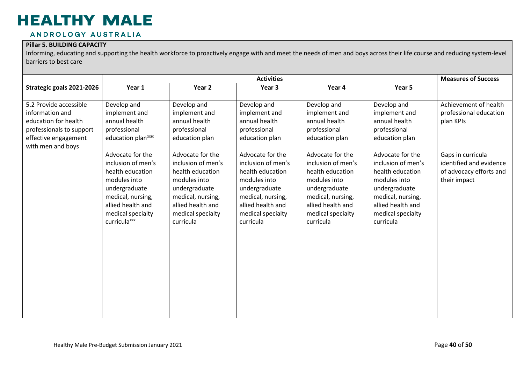#### ANDROLOGY AUSTRALIA

#### **Pillar 5. BUILDING CAPACITY**

|                           | <b>Activities</b>                                                                                                                                                                      |                                                                                                                                                                         |                                                                                                                                                                         |                                                                                                                                                                         |                                                                                                                                                                         | <b>Measures of Success</b>                                                              |
|---------------------------|----------------------------------------------------------------------------------------------------------------------------------------------------------------------------------------|-------------------------------------------------------------------------------------------------------------------------------------------------------------------------|-------------------------------------------------------------------------------------------------------------------------------------------------------------------------|-------------------------------------------------------------------------------------------------------------------------------------------------------------------------|-------------------------------------------------------------------------------------------------------------------------------------------------------------------------|-----------------------------------------------------------------------------------------|
| Strategic goals 2021-2026 | Year 1                                                                                                                                                                                 | Year 2                                                                                                                                                                  | Year 3                                                                                                                                                                  | Year 4                                                                                                                                                                  | Year 5                                                                                                                                                                  |                                                                                         |
| 5.2 Provide accessible    | Develop and                                                                                                                                                                            | Develop and                                                                                                                                                             | Develop and                                                                                                                                                             | Develop and                                                                                                                                                             | Develop and                                                                                                                                                             | Achievement of health                                                                   |
| information and           | implement and                                                                                                                                                                          | implement and                                                                                                                                                           | implement and                                                                                                                                                           | implement and                                                                                                                                                           | implement and                                                                                                                                                           | professional education                                                                  |
| education for health      | annual health                                                                                                                                                                          | annual health                                                                                                                                                           | annual health                                                                                                                                                           | annual health                                                                                                                                                           | annual health                                                                                                                                                           | plan KPIs                                                                               |
| professionals to support  | professional                                                                                                                                                                           | professional                                                                                                                                                            | professional                                                                                                                                                            | professional                                                                                                                                                            | professional                                                                                                                                                            |                                                                                         |
| effective engagement      | education plan <sup>xxix</sup>                                                                                                                                                         | education plan                                                                                                                                                          | education plan                                                                                                                                                          | education plan                                                                                                                                                          | education plan                                                                                                                                                          |                                                                                         |
| with men and boys         | Advocate for the<br>inclusion of men's<br>health education<br>modules into<br>undergraduate<br>medical, nursing,<br>allied health and<br>medical specialty<br>curricula <sup>xxx</sup> | Advocate for the<br>inclusion of men's<br>health education<br>modules into<br>undergraduate<br>medical, nursing,<br>allied health and<br>medical specialty<br>curricula | Advocate for the<br>inclusion of men's<br>health education<br>modules into<br>undergraduate<br>medical, nursing,<br>allied health and<br>medical specialty<br>curricula | Advocate for the<br>inclusion of men's<br>health education<br>modules into<br>undergraduate<br>medical, nursing,<br>allied health and<br>medical specialty<br>curricula | Advocate for the<br>inclusion of men's<br>health education<br>modules into<br>undergraduate<br>medical, nursing,<br>allied health and<br>medical specialty<br>curricula | Gaps in curricula<br>identified and evidence<br>of advocacy efforts and<br>their impact |
|                           |                                                                                                                                                                                        |                                                                                                                                                                         |                                                                                                                                                                         |                                                                                                                                                                         |                                                                                                                                                                         |                                                                                         |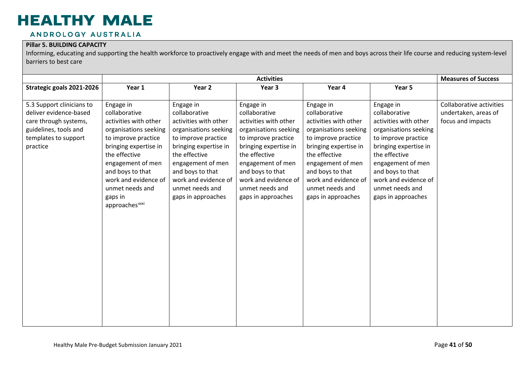#### ANDROLOGY AUSTRALIA

#### **Pillar 5. BUILDING CAPACITY**

| <b>Activities</b>                                                                                                                                                                                                                                                                                                                                                                                                                                                                                                                                                                                                                                                                                                                                                                                                                                                                                                                             |                                                                                                                                                                                                                                                         |                                                                                                                                                                                                                                                         |                                                                       |  |  |  |
|-----------------------------------------------------------------------------------------------------------------------------------------------------------------------------------------------------------------------------------------------------------------------------------------------------------------------------------------------------------------------------------------------------------------------------------------------------------------------------------------------------------------------------------------------------------------------------------------------------------------------------------------------------------------------------------------------------------------------------------------------------------------------------------------------------------------------------------------------------------------------------------------------------------------------------------------------|---------------------------------------------------------------------------------------------------------------------------------------------------------------------------------------------------------------------------------------------------------|---------------------------------------------------------------------------------------------------------------------------------------------------------------------------------------------------------------------------------------------------------|-----------------------------------------------------------------------|--|--|--|
| Strategic goals 2021-2026<br>Year 2<br>Year 1<br>Year 3                                                                                                                                                                                                                                                                                                                                                                                                                                                                                                                                                                                                                                                                                                                                                                                                                                                                                       | Year 4                                                                                                                                                                                                                                                  | Year 5                                                                                                                                                                                                                                                  |                                                                       |  |  |  |
| 5.3 Support clinicians to<br>Engage in<br>Engage in<br>Engage in<br>deliver evidence-based<br>collaborative<br>collaborative<br>collaborative<br>care through systems,<br>activities with other<br>activities with other<br>activities with other<br>guidelines, tools and<br>organisations seeking<br>organisations seeking<br>organisations seeking<br>templates to support<br>to improve practice<br>to improve practice<br>to improve practice<br>bringing expertise in<br>bringing expertise in<br>bringing expertise in<br>practice<br>the effective<br>the effective<br>the effective<br>engagement of men<br>engagement of men<br>engagement of men<br>and boys to that<br>and boys to that<br>and boys to that<br>work and evidence of<br>work and evidence of<br>work and evidence of<br>unmet needs and<br>unmet needs and<br>unmet needs and<br>gaps in approaches<br>gaps in approaches<br>gaps in<br>approaches <sup>xxxi</sup> | Engage in<br>collaborative<br>activities with other<br>organisations seeking<br>to improve practice<br>bringing expertise in<br>the effective<br>engagement of men<br>and boys to that<br>work and evidence of<br>unmet needs and<br>gaps in approaches | Engage in<br>collaborative<br>activities with other<br>organisations seeking<br>to improve practice<br>bringing expertise in<br>the effective<br>engagement of men<br>and boys to that<br>work and evidence of<br>unmet needs and<br>gaps in approaches | Collaborative activities<br>undertaken, areas of<br>focus and impacts |  |  |  |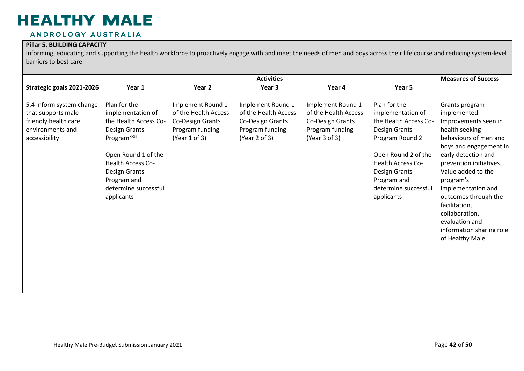#### ANDROLOGY AUSTRALIA

#### **Pillar 5. BUILDING CAPACITY**

|                                                                                                              |                                                                                                                                                                                                                                  |                                                                                                   | <b>Measures of Success</b>                                                                        |                                                                                                   |                                                                                                                                                                                                                         |                                                                                                                                                                                                                                                                                                                                                                    |
|--------------------------------------------------------------------------------------------------------------|----------------------------------------------------------------------------------------------------------------------------------------------------------------------------------------------------------------------------------|---------------------------------------------------------------------------------------------------|---------------------------------------------------------------------------------------------------|---------------------------------------------------------------------------------------------------|-------------------------------------------------------------------------------------------------------------------------------------------------------------------------------------------------------------------------|--------------------------------------------------------------------------------------------------------------------------------------------------------------------------------------------------------------------------------------------------------------------------------------------------------------------------------------------------------------------|
| Strategic goals 2021-2026                                                                                    | Year 1                                                                                                                                                                                                                           | Year <sub>2</sub>                                                                                 | Year 3                                                                                            | Year 4                                                                                            | Year 5                                                                                                                                                                                                                  |                                                                                                                                                                                                                                                                                                                                                                    |
| 5.4 Inform system change<br>that supports male-<br>friendly health care<br>environments and<br>accessibility | Plan for the<br>implementation of<br>the Health Access Co-<br>Design Grants<br>Program <sup>xxxii</sup><br>Open Round 1 of the<br><b>Health Access Co-</b><br>Design Grants<br>Program and<br>determine successful<br>applicants | Implement Round 1<br>of the Health Access<br>Co-Design Grants<br>Program funding<br>(Year 1 of 3) | Implement Round 1<br>of the Health Access<br>Co-Design Grants<br>Program funding<br>(Year 2 of 3) | Implement Round 1<br>of the Health Access<br>Co-Design Grants<br>Program funding<br>(Year 3 of 3) | Plan for the<br>implementation of<br>the Health Access Co-<br>Design Grants<br>Program Round 2<br>Open Round 2 of the<br><b>Health Access Co-</b><br>Design Grants<br>Program and<br>determine successful<br>applicants | Grants program<br>implemented.<br>Improvements seen in<br>health seeking<br>behaviours of men and<br>boys and engagement in<br>early detection and<br>prevention initiatives.<br>Value added to the<br>program's<br>implementation and<br>outcomes through the<br>facilitation,<br>collaboration,<br>evaluation and<br>information sharing role<br>of Healthy Male |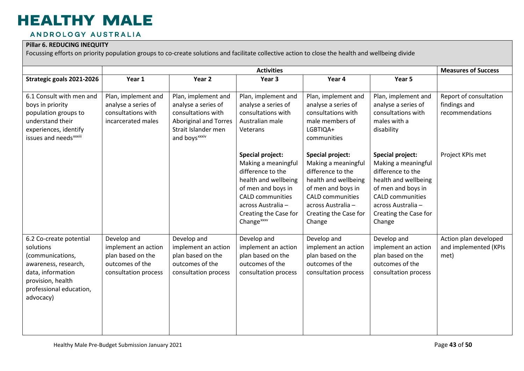#### ANDROLOGY AUSTRALIA

#### **Pillar 6. REDUCING INEQUITY**

Focussing efforts on priority population groups to co-create solutions and facilitate collective action to close the health and wellbeing divide

|                                                                                                                                                                    |                                                                                                    |                                                                                                                                                      | <b>Measures of Success</b>                                                                                                                                                                                            |                                                                                                                                                                                                       |                                                                                                                                                                                                       |                                                           |
|--------------------------------------------------------------------------------------------------------------------------------------------------------------------|----------------------------------------------------------------------------------------------------|------------------------------------------------------------------------------------------------------------------------------------------------------|-----------------------------------------------------------------------------------------------------------------------------------------------------------------------------------------------------------------------|-------------------------------------------------------------------------------------------------------------------------------------------------------------------------------------------------------|-------------------------------------------------------------------------------------------------------------------------------------------------------------------------------------------------------|-----------------------------------------------------------|
| Strategic goals 2021-2026                                                                                                                                          | Year 1                                                                                             | Year 2                                                                                                                                               | Year 3                                                                                                                                                                                                                | Year 4                                                                                                                                                                                                | Year 5                                                                                                                                                                                                |                                                           |
| 6.1 Consult with men and<br>boys in priority<br>population groups to<br>understand their<br>experiences, identify<br>issues and needs <sup>xxxiii</sup>            | Plan, implement and<br>analyse a series of<br>consultations with<br>incarcerated males             | Plan, implement and<br>analyse a series of<br>consultations with<br><b>Aboriginal and Torres</b><br>Strait Islander men<br>and boys <sup>xxxiv</sup> | Plan, implement and<br>analyse a series of<br>consultations with<br>Australian male<br>Veterans                                                                                                                       | Plan, implement and<br>analyse a series of<br>consultations with<br>male members of<br>LGBTIQA+<br>communities                                                                                        | Plan, implement and<br>analyse a series of<br>consultations with<br>males with a<br>disability                                                                                                        | Report of consultation<br>findings and<br>recommendations |
|                                                                                                                                                                    |                                                                                                    |                                                                                                                                                      | <b>Special project:</b><br>Making a meaningful<br>difference to the<br>health and wellbeing<br>of men and boys in<br><b>CALD communities</b><br>across Australia -<br>Creating the Case for<br>Change <sup>xxxv</sup> | <b>Special project:</b><br>Making a meaningful<br>difference to the<br>health and wellbeing<br>of men and boys in<br><b>CALD</b> communities<br>across Australia -<br>Creating the Case for<br>Change | <b>Special project:</b><br>Making a meaningful<br>difference to the<br>health and wellbeing<br>of men and boys in<br><b>CALD</b> communities<br>across Australia -<br>Creating the Case for<br>Change | Project KPIs met                                          |
| 6.2 Co-create potential<br>solutions<br>(communications,<br>awareness, research,<br>data, information<br>provision, health<br>professional education,<br>advocacy) | Develop and<br>implement an action<br>plan based on the<br>outcomes of the<br>consultation process | Develop and<br>implement an action<br>plan based on the<br>outcomes of the<br>consultation process                                                   | Develop and<br>implement an action<br>plan based on the<br>outcomes of the<br>consultation process                                                                                                                    | Develop and<br>implement an action<br>plan based on the<br>outcomes of the<br>consultation process                                                                                                    | Develop and<br>implement an action<br>plan based on the<br>outcomes of the<br>consultation process                                                                                                    | Action plan developed<br>and implemented (KPIs<br>met)    |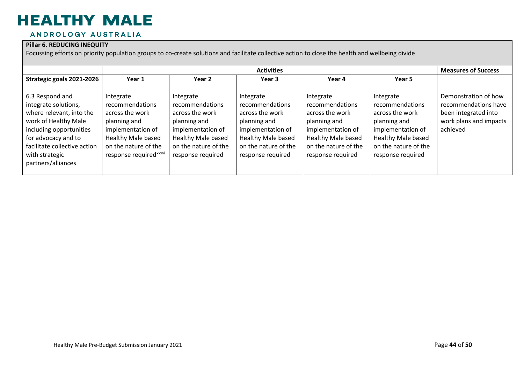#### ANDROLOGY AUSTRALIA

#### **Pillar 6. REDUCING INEQUITY**

Focussing efforts on priority population groups to co-create solutions and facilitate collective action to close the health and wellbeing divide

|                                                                                                                                                                                                                       | <b>Activities</b>                                                                                                                                                               |                                                                                                                                                                |                                                                                                                                                                |                                                                                                                                                                |                                                                                                                                                                | <b>Measures of Success</b>                                                                                 |
|-----------------------------------------------------------------------------------------------------------------------------------------------------------------------------------------------------------------------|---------------------------------------------------------------------------------------------------------------------------------------------------------------------------------|----------------------------------------------------------------------------------------------------------------------------------------------------------------|----------------------------------------------------------------------------------------------------------------------------------------------------------------|----------------------------------------------------------------------------------------------------------------------------------------------------------------|----------------------------------------------------------------------------------------------------------------------------------------------------------------|------------------------------------------------------------------------------------------------------------|
| Strategic goals 2021-2026                                                                                                                                                                                             | Year 1                                                                                                                                                                          | Year 2                                                                                                                                                         | Year 3                                                                                                                                                         | Year 4                                                                                                                                                         | Year <sub>5</sub>                                                                                                                                              |                                                                                                            |
| 6.3 Respond and<br>integrate solutions,<br>where relevant, into the<br>work of Healthy Male<br>including opportunities<br>for advocacy and to<br>facilitate collective action<br>with strategic<br>partners/alliances | Integrate<br>recommendations<br>across the work<br>planning and<br>implementation of<br><b>Healthy Male based</b><br>on the nature of the<br>response required <sup>xxxvi</sup> | Integrate<br>recommendations<br>across the work<br>planning and<br>implementation of<br><b>Healthy Male based</b><br>on the nature of the<br>response required | Integrate<br>recommendations<br>across the work<br>planning and<br>implementation of<br><b>Healthy Male based</b><br>on the nature of the<br>response required | Integrate<br>recommendations<br>across the work<br>planning and<br>implementation of<br><b>Healthy Male based</b><br>on the nature of the<br>response required | Integrate<br>recommendations<br>across the work<br>planning and<br>implementation of<br><b>Healthy Male based</b><br>on the nature of the<br>response required | Demonstration of how<br>recommendations have<br>been integrated into<br>work plans and impacts<br>achieved |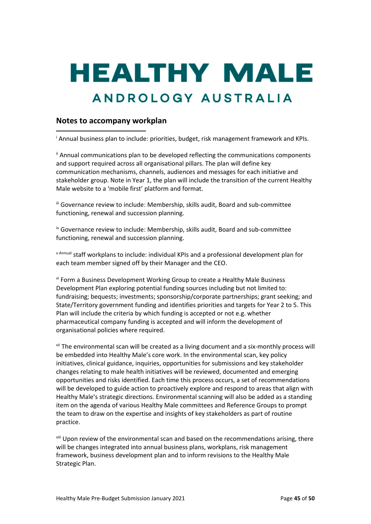# **HEALTHY MALE** ANDROLOGY AUSTRALIA

#### <span id="page-44-0"></span>**Notes to accompany workplan**

<sup>i</sup> Annual business plan to include: priorities, budget, risk management framework and KPIs.

<sup>ii</sup> Annual communications plan to be developed reflecting the communications components and support required across all organisational pillars. The plan will define key communication mechanisms, channels, audiences and messages for each initiative and stakeholder group. Note in Year 1, the plan will include the transition of the current Healthy Male website to a 'mobile first' platform and format.

<sup>iii</sup> Governance review to include: Membership, skills audit, Board and sub-committee functioning, renewal and succession planning.

iv Governance review to include: Membership, skills audit, Board and sub-committee functioning, renewal and succession planning.

<sup>v</sup> Annual staff workplans to include: individual KPIs and a professional development plan for each team member signed off by their Manager and the CEO.

vi Form a Business Development Working Group to create a Healthy Male Business Development Plan exploring potential funding sources including but not limited to: fundraising; bequests; investments; sponsorship/corporate partnerships; grant seeking; and State/Territory government funding and identifies priorities and targets for Year 2 to 5. This Plan will include the criteria by which funding is accepted or not e.g. whether pharmaceutical company funding is accepted and will inform the development of organisational policies where required.

vii The environmental scan will be created as a living document and a six-monthly process will be embedded into Healthy Male's core work. In the environmental scan, key policy initiatives, clinical guidance, inquiries, opportunities for submissions and key stakeholder changes relating to male health initiatives will be reviewed, documented and emerging opportunities and risks identified. Each time this process occurs, a set of recommendations will be developed to guide action to proactively explore and respond to areas that align with Healthy Male's strategic directions. Environmental scanning will also be added as a standing item on the agenda of various Healthy Male committees and Reference Groups to prompt the team to draw on the expertise and insights of key stakeholders as part of routine practice.

viii Upon review of the environmental scan and based on the recommendations arising, there will be changes integrated into annual business plans, workplans, risk management framework, business development plan and to inform revisions to the Healthy Male Strategic Plan.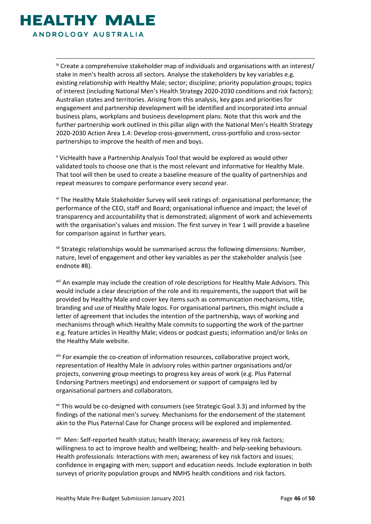<span id="page-45-5"></span><span id="page-45-4"></span><span id="page-45-3"></span><span id="page-45-2"></span><span id="page-45-1"></span><span id="page-45-0"></span>HEALTHY MAL ANDROLOGY AUSTRALIA

> <span id="page-45-7"></span><span id="page-45-6"></span>ix Create a comprehensive stakeholder map of individuals and organisations with an interest/ stake in men's health across all sectors. Analyse the stakeholders by key variables e.g. existing relationship with Healthy Male; sector; discipline; priority population groups; topics of interest (including National Men's Health Strategy 2020-2030 conditions and risk factors); Australian states and territories. Arising from this analysis, key gaps and priorities for engagement and partnership development will be identified and incorporated into annual business plans, workplans and business development plans. Note that this work and the further partnership work outlined in this pillar align with the National Men's Health Strategy 2020-2030 Action Area 1.4: Develop cross-government, cross-portfolio and cross-sector partnerships to improve the health of men and boys.

<sup>x</sup> VicHealth have a Partnership Analysis Tool that would be explored as would other validated tools to choose one that is the most relevant and informative for Healthy Male. That tool will then be used to create a baseline measure of the quality of partnerships and repeat measures to compare performance every second year.

xi The Healthy Male Stakeholder Survey will seek ratings of: organisational performance; the performance of the CEO, staff and Board; organisational influence and impact; the level of transparency and accountability that is demonstrated; alignment of work and achievements with the organisation's values and mission. The first survey in Year 1 will provide a baseline for comparison against in further years.

<sup>xii</sup> Strategic relationships would be summarised across the following dimensions: Number, nature, level of engagement and other key variables as per the stakeholder analysis (see endnote #8).

xiii An example may include the creation of role descriptions for Healthy Male Advisors. This would include a clear description of the role and its requirements, the support that will be provided by Healthy Male and cover key items such as communication mechanisms, title, branding and use of Healthy Male logos. For organisational partners, this might include a letter of agreement that includes the intention of the partnership, ways of working and mechanisms through which Healthy Male commits to supporting the work of the partner e.g. feature articles in Healthy Male; videos or podcast guests; information and/or links on the Healthy Male website.

xiv For example the co-creation of information resources, collaborative project work, representation of Healthy Male in advisory roles within partner organisations and/or projects, convening group meetings to progress key areas of work (e.g. Plus Paternal Endorsing Partners meetings) and endorsement or support of campaigns led by organisational partners and collaborators.

 $\alpha$ <sup>w</sup> This would be co-designed with consumers (see Strategic Goal 3.3) and informed by the findings of the national men's survey. Mechanisms for the endorsement of the statement akin to the Plus Paternal Case for Change process will be explored and implemented.

xvi Men: Self-reported health status; health literacy; awareness of key risk factors; willingness to act to improve health and wellbeing; health- and help-seeking behaviours. Health professionals: Interactions with men; awareness of key risk factors and issues; confidence in engaging with men; support and education needs. Include exploration in both surveys of priority population groups and NMHS health conditions and risk factors.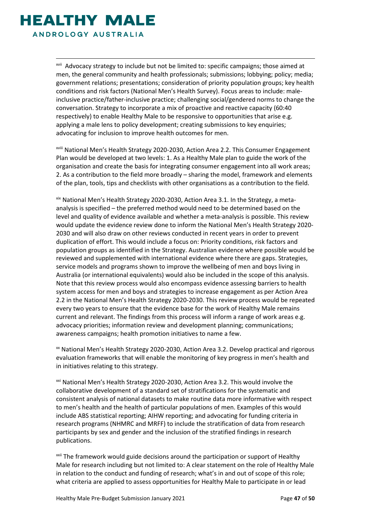<span id="page-46-3"></span><span id="page-46-2"></span><span id="page-46-1"></span><span id="page-46-0"></span>

<span id="page-46-7"></span><span id="page-46-6"></span><span id="page-46-5"></span><span id="page-46-4"></span>xvii Advocacy strategy to include but not be limited to: specific campaigns; those aimed at men, the general community and health professionals; submissions; lobbying; policy; media; government relations; presentations; consideration of priority population groups; key health conditions and risk factors (National Men's Health Survey). Focus areas to include: maleinclusive practice/father-inclusive practice; challenging social/gendered norms to change the conversation. Strategy to incorporate a mix of proactive and reactive capacity (60:40 respectively) to enable Healthy Male to be responsive to opportunities that arise e.g. applying a male lens to policy development; creating submissions to key enquiries; advocating for inclusion to improve health outcomes for men.

xviii National Men's Health Strategy 2020-2030, Action Area 2.2. This Consumer Engagement Plan would be developed at two levels: 1. As a Healthy Male plan to guide the work of the organisation and create the basis for integrating consumer engagement into all work areas; 2. As a contribution to the field more broadly – sharing the model, framework and elements of the plan, tools, tips and checklists with other organisations as a contribution to the field.

xix National Men's Health Strategy 2020-2030, Action Area 3.1. In the Strategy, a metaanalysis is specified – the preferred method would need to be determined based on the level and quality of evidence available and whether a meta-analysis is possible. This review would update the evidence review done to inform the National Men's Health Strategy 2020- 2030 and will also draw on other reviews conducted in recent years in order to prevent duplication of effort. This would include a focus on: Priority conditions, risk factors and population groups as identified in the Strategy. Australian evidence where possible would be reviewed and supplemented with international evidence where there are gaps. Strategies, service models and programs shown to improve the wellbeing of men and boys living in Australia (or international equivalents) would also be included in the scope of this analysis. Note that this review process would also encompass evidence assessing barriers to health system access for men and boys and strategies to increase engagement as per Action Area 2.2 in the National Men's Health Strategy 2020-2030. This review process would be repeated every two years to ensure that the evidence base for the work of Healthy Male remains current and relevant. The findings from this process will inform a range of work areas e.g. advocacy priorities; information review and development planning; communications; awareness campaigns; health promotion initiatives to name a few.

<sup>xx</sup> National Men's Health Strategy 2020-2030, Action Area 3.2. Develop practical and rigorous evaluation frameworks that will enable the monitoring of key progress in men's health and in initiatives relating to this strategy.

<sup>xxi</sup> National Men's Health Strategy 2020-2030, Action Area 3.2. This would involve the collaborative development of a standard set of stratifications for the systematic and consistent analysis of national datasets to make routine data more informative with respect to men's health and the health of particular populations of men. Examples of this would include ABS statistical reporting; AIHW reporting; and advocating for funding criteria in research programs (NHMRC and MRFF) to include the stratification of data from research participants by sex and gender and the inclusion of the stratified findings in research publications.

<sup>xxii</sup> The framework would guide decisions around the participation or support of Healthy Male for research including but not limited to: A clear statement on the role of Healthy Male in relation to the conduct and funding of research; what's in and out of scope of this role; what criteria are applied to assess opportunities for Healthy Male to participate in or lead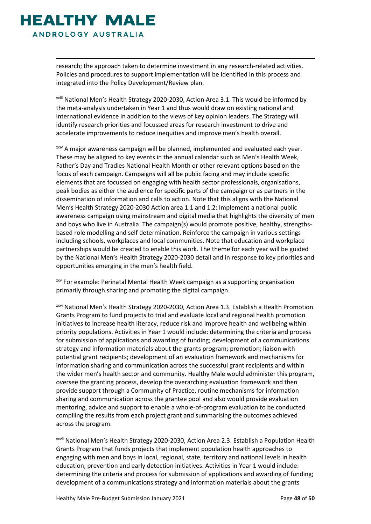### <span id="page-47-1"></span><span id="page-47-0"></span>**HEALTHY MALE** ANDROLOGY AUSTRALIA

<span id="page-47-4"></span><span id="page-47-3"></span><span id="page-47-2"></span>research; the approach taken to determine investment in any research-related activities. Policies and procedures to support implementation will be identified in this process and integrated into the Policy Development/Review plan.

xxiii National Men's Health Strategy 2020-2030, Action Area 3.1. This would be informed by the meta-analysis undertaken in Year 1 and thus would draw on existing national and international evidence in addition to the views of key opinion leaders. The Strategy will identify research priorities and focussed areas for research investment to drive and accelerate improvements to reduce inequities and improve men's health overall.

xxiv A major awareness campaign will be planned, implemented and evaluated each year. These may be aligned to key events in the annual calendar such as Men's Health Week, Father's Day and Tradies National Health Month or other relevant options based on the focus of each campaign. Campaigns will all be public facing and may include specific elements that are focussed on engaging with health sector professionals, organisations, peak bodies as either the audience for specific parts of the campaign or as partners in the dissemination of information and calls to action. Note that this aligns with the National Men's Health Strategy 2020-2030 Action area 1.1 and 1.2: Implement a national public awareness campaign using mainstream and digital media that highlights the diversity of men and boys who live in Australia. The campaign(s) would promote positive, healthy, strengthsbased role modelling and self determination. Reinforce the campaign in various settings including schools, workplaces and local communities. Note that education and workplace partnerships would be created to enable this work. The theme for each year will be guided by the National Men's Health Strategy 2020-2030 detail and in response to key priorities and opportunities emerging in the men's health field.

xxv For example: Perinatal Mental Health Week campaign as a supporting organisation primarily through sharing and promoting the digital campaign.

xxvi National Men's Health Strategy 2020-2030, Action Area 1.3. Establish a Health Promotion Grants Program to fund projects to trial and evaluate local and regional health promotion initiatives to increase health literacy, reduce risk and improve health and wellbeing within priority populations. Activities in Year 1 would include: determining the criteria and process for submission of applications and awarding of funding; development of a communications strategy and information materials about the grants program; promotion; liaison with potential grant recipients; development of an evaluation framework and mechanisms for information sharing and communication across the successful grant recipients and within the wider men's health sector and community. Healthy Male would administer this program, oversee the granting process, develop the overarching evaluation framework and then provide support through a Community of Practice, routine mechanisms for information sharing and communication across the grantee pool and also would provide evaluation mentoring, advice and support to enable a whole-of-program evaluation to be conducted compiling the results from each project grant and summarising the outcomes achieved across the program.

xxvii National Men's Health Strategy 2020-2030, Action Area 2.3. Establish a Population Health Grants Program that funds projects that implement population health approaches to engaging with men and boys in local, regional, state, territory and national levels in health education, prevention and early detection initiatives. Activities in Year 1 would include: determining the criteria and process for submission of applications and awarding of funding; development of a communications strategy and information materials about the grants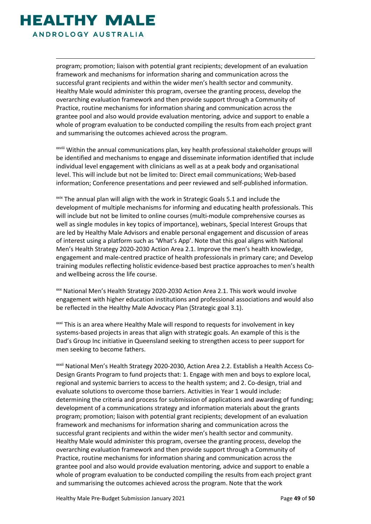<span id="page-48-1"></span><span id="page-48-0"></span>

<span id="page-48-4"></span><span id="page-48-3"></span><span id="page-48-2"></span>program; promotion; liaison with potential grant recipients; development of an evaluation framework and mechanisms for information sharing and communication across the successful grant recipients and within the wider men's health sector and community. Healthy Male would administer this program, oversee the granting process, develop the overarching evaluation framework and then provide support through a Community of Practice, routine mechanisms for information sharing and communication across the grantee pool and also would provide evaluation mentoring, advice and support to enable a whole of program evaluation to be conducted compiling the results from each project grant and summarising the outcomes achieved across the program.

xxviii Within the annual communications plan, key health professional stakeholder groups will be identified and mechanisms to engage and disseminate information identified that include individual level engagement with clinicians as well as at a peak body and organisational level. This will include but not be limited to: Direct email communications; Web-based information; Conference presentations and peer reviewed and self-published information.

 $x$ <sup>xxix</sup> The annual plan will align with the work in Strategic Goals 5.1 and include the development of multiple mechanisms for informing and educating health professionals. This will include but not be limited to online courses (multi-module comprehensive courses as well as single modules in key topics of importance), webinars, Special Interest Groups that are led by Healthy Male Advisors and enable personal engagement and discussion of areas of interest using a platform such as 'What's App'. Note that this goal aligns with National Men's Health Strategy 2020-2030 Action Area 2.1. Improve the men's health knowledge, engagement and male-centred practice of health professionals in primary care; and Develop training modules reflecting holistic evidence-based best practice approaches to men's health and wellbeing across the life course.

xxx National Men's Health Strategy 2020-2030 Action Area 2.1. This work would involve engagement with higher education institutions and professional associations and would also be reflected in the Healthy Male Advocacy Plan (Strategic goal 3.1).

xxxi This is an area where Healthy Male will respond to requests for involvement in key systems-based projects in areas that align with strategic goals. An example of this is the Dad's Group Inc initiative in Queensland seeking to strengthen access to peer support for men seeking to become fathers.

xxxii National Men's Health Strategy 2020-2030, Action Area 2.2. Establish a Health Access Co-Design Grants Program to fund projects that: 1. Engage with men and boys to explore local, regional and systemic barriers to access to the health system; and 2. Co-design, trial and evaluate solutions to overcome those barriers. Activities in Year 1 would include: determining the criteria and process for submission of applications and awarding of funding; development of a communications strategy and information materials about the grants program; promotion; liaison with potential grant recipients; development of an evaluation framework and mechanisms for information sharing and communication across the successful grant recipients and within the wider men's health sector and community. Healthy Male would administer this program, oversee the granting process, develop the overarching evaluation framework and then provide support through a Community of Practice, routine mechanisms for information sharing and communication across the grantee pool and also would provide evaluation mentoring, advice and support to enable a whole of program evaluation to be conducted compiling the results from each project grant and summarising the outcomes achieved across the program. Note that the work